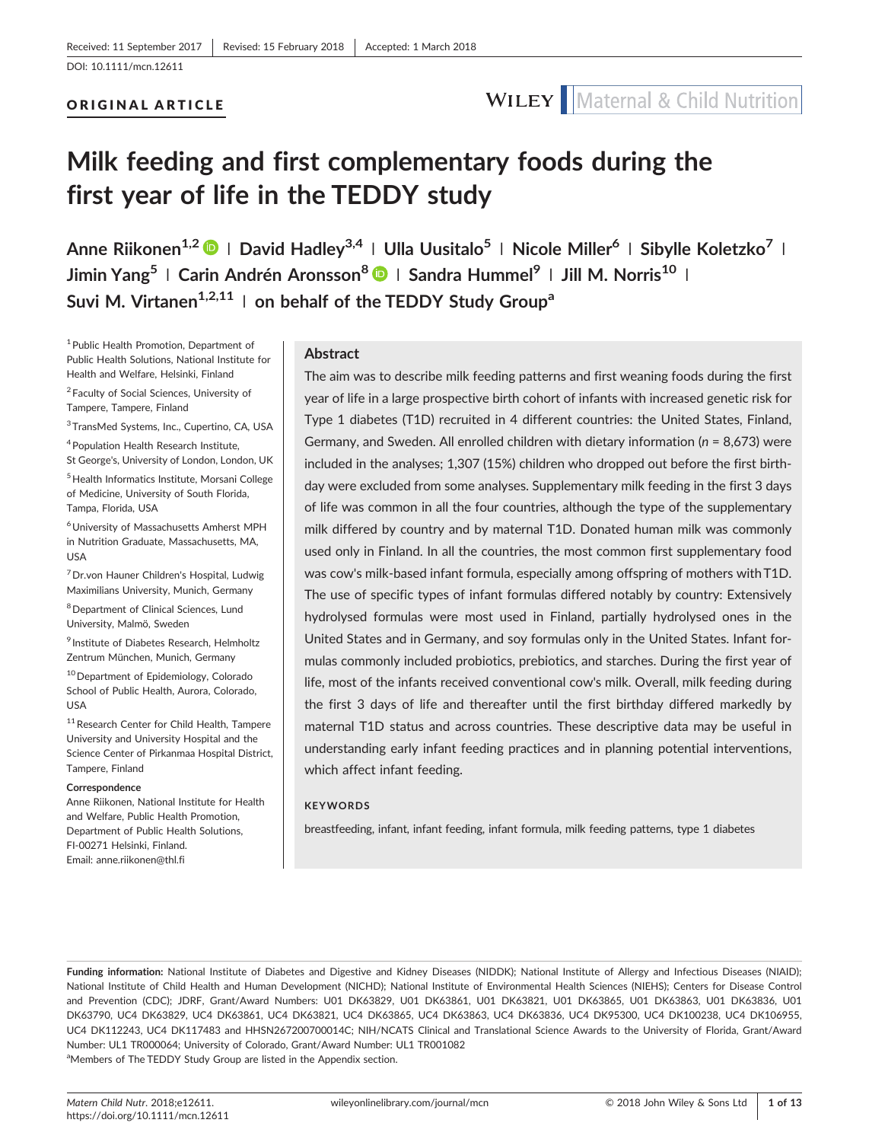# ORIGINAL ARTICLE



# **Milk feeding and first complementary foods during the first year of life in the TEDDY study**

**Anne Riikonen1,2 <sup>|</sup> David Hadley3,4 <sup>|</sup> Ulla Uusitalo5 <sup>|</sup> Nicole Miller<sup>6</sup> <sup>|</sup> Sibylle Koletzko<sup>7</sup> <sup>|</sup> Jimin Yang5 <sup>|</sup> Carin Andrén Aronsson<sup>8</sup> <sup>|</sup> Sandra Hummel<sup>9</sup> <sup>|</sup> Jill M. Norris<sup>10</sup> <sup>|</sup>** Suvi M. Virtanen<sup>1,2,11</sup> | on behalf of the TEDDY Study Group<sup>a</sup>

1Public Health Promotion, Department of Public Health Solutions, National Institute for Health and Welfare, Helsinki, Finland

<sup>2</sup> Faculty of Social Sciences, University of Tampere, Tampere, Finland

<sup>3</sup>TransMed Systems, Inc., Cupertino, CA, USA

4Population Health Research Institute, St George's, University of London, London, UK

5Health Informatics Institute, Morsani College of Medicine, University of South Florida, Tampa, Florida, USA

6University of Massachusetts Amherst MPH in Nutrition Graduate, Massachusetts, MA, USA

<sup>7</sup> Dr.von Hauner Children's Hospital, Ludwig Maximilians University, Munich, Germany

8Department of Clinical Sciences, Lund University, Malmö, Sweden

<sup>9</sup> Institute of Diabetes Research, Helmholtz Zentrum München, Munich, Germany

<sup>10</sup> Department of Epidemiology, Colorado School of Public Health, Aurora, Colorado, USA

<sup>11</sup> Research Center for Child Health, Tampere University and University Hospital and the Science Center of Pirkanmaa Hospital District, Tampere, Finland

#### **Correspondence**

Anne Riikonen, National Institute for Health and Welfare, Public Health Promotion, Department of Public Health Solutions, FI‐00271 Helsinki, Finland. Email: [anne.riikonen@thl.fi](mailto:anne.riikonen@thl.fi)

#### **Abstract**

The aim was to describe milk feeding patterns and first weaning foods during the first year of life in a large prospective birth cohort of infants with increased genetic risk for Type 1 diabetes (T1D) recruited in 4 different countries: the United States, Finland, Germany, and Sweden. All enrolled children with dietary information (*n* = 8,673) were included in the analyses; 1,307 (15%) children who dropped out before the first birthday were excluded from some analyses. Supplementary milk feeding in the first 3 days of life was common in all the four countries, although the type of the supplementary milk differed by country and by maternal T1D. Donated human milk was commonly used only in Finland. In all the countries, the most common first supplementary food was cow's milk‐based infant formula, especially among offspring of mothers with T1D. The use of specific types of infant formulas differed notably by country: Extensively hydrolysed formulas were most used in Finland, partially hydrolysed ones in the United States and in Germany, and soy formulas only in the United States. Infant formulas commonly included probiotics, prebiotics, and starches. During the first year of life, most of the infants received conventional cow's milk. Overall, milk feeding during the first 3 days of life and thereafter until the first birthday differed markedly by maternal T1D status and across countries. These descriptive data may be useful in understanding early infant feeding practices and in planning potential interventions, which affect infant feeding.

### **KEYWORDS**

breastfeeding, infant, infant feeding, infant formula, milk feeding patterns, type 1 diabetes

Funding information: National Institute of Diabetes and Digestive and Kidney Diseases (NIDDK); National Institute of Allergy and Infectious Diseases (NIAID); National Institute of Child Health and Human Development (NICHD); National Institute of Environmental Health Sciences (NIEHS); Centers for Disease Control and Prevention (CDC); JDRF, Grant/Award Numbers: U01 DK63829, U01 DK63861, U01 DK63821, U01 DK63865, U01 DK63863, U01 DK63836, U01 DK63790, UC4 DK63829, UC4 DK63861, UC4 DK63821, UC4 DK63865, UC4 DK63863, UC4 DK63836, UC4 DK95300, UC4 DK100238, UC4 DK106955, UC4 DK112243, UC4 DK117483 and HHSN267200700014C; NIH/NCATS Clinical and Translational Science Awards to the University of Florida, Grant/Award Number: UL1 TR000064; University of Colorado, Grant/Award Number: UL1 TR001082 <sup>a</sup>Members of The TEDDY Study Group are listed in the Appendix section.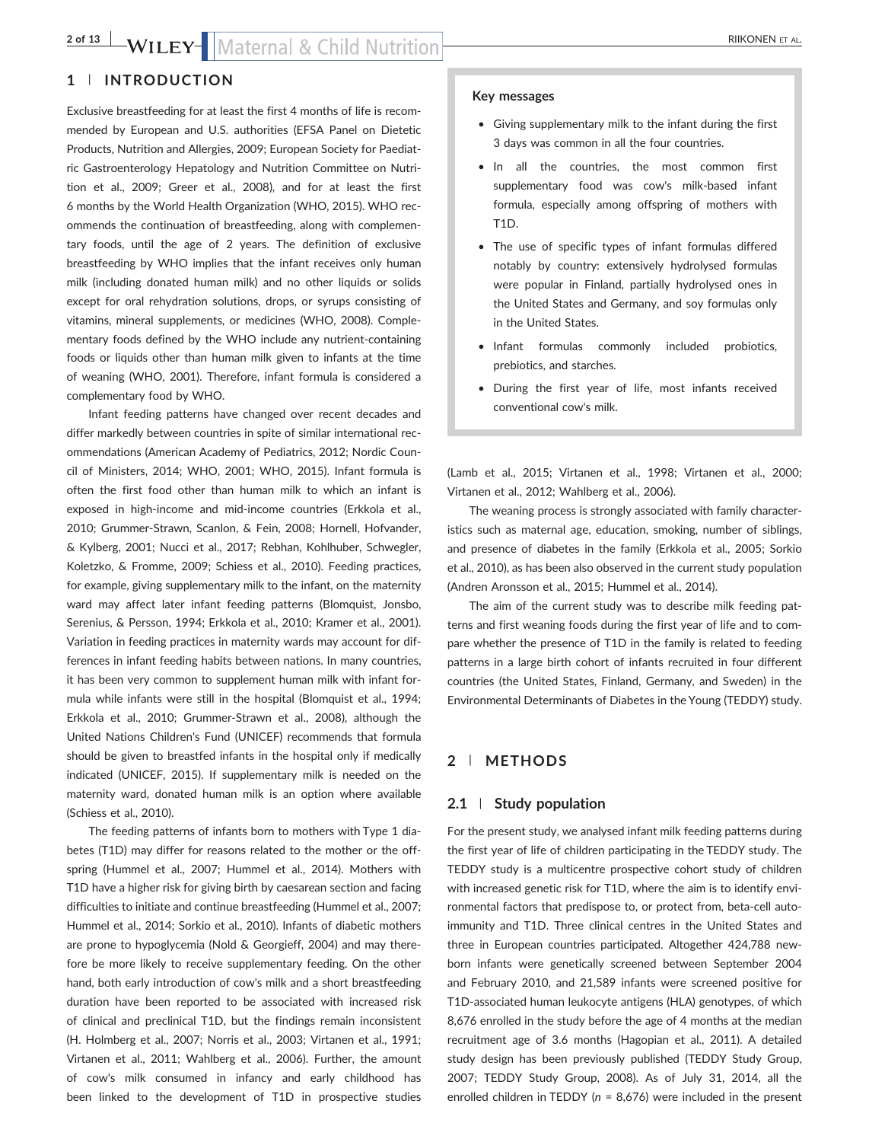# 2 of 13 WILEY-WILEY-Maternal & Child Nutrition

# **1** | **INTRODUCTION**

Exclusive breastfeeding for at least the first 4 months of life is recommended by European and U.S. authorities (EFSA Panel on Dietetic Products, Nutrition and Allergies, 2009; European Society for Paediatric Gastroenterology Hepatology and Nutrition Committee on Nutrition et al., 2009; Greer et al., 2008), and for at least the first 6 months by the World Health Organization (WHO, 2015). WHO recommends the continuation of breastfeeding, along with complementary foods, until the age of 2 years. The definition of exclusive breastfeeding by WHO implies that the infant receives only human milk (including donated human milk) and no other liquids or solids except for oral rehydration solutions, drops, or syrups consisting of vitamins, mineral supplements, or medicines (WHO, 2008). Complementary foods defined by the WHO include any nutrient‐containing foods or liquids other than human milk given to infants at the time of weaning (WHO, 2001). Therefore, infant formula is considered a complementary food by WHO.

Infant feeding patterns have changed over recent decades and differ markedly between countries in spite of similar international recommendations (American Academy of Pediatrics, 2012; Nordic Council of Ministers, 2014; WHO, 2001; WHO, 2015). Infant formula is often the first food other than human milk to which an infant is exposed in high-income and mid-income countries (Erkkola et al., 2010; Grummer‐Strawn, Scanlon, & Fein, 2008; Hornell, Hofvander, & Kylberg, 2001; Nucci et al., 2017; Rebhan, Kohlhuber, Schwegler, Koletzko, & Fromme, 2009; Schiess et al., 2010). Feeding practices, for example, giving supplementary milk to the infant, on the maternity ward may affect later infant feeding patterns (Blomquist, Jonsbo, Serenius, & Persson, 1994; Erkkola et al., 2010; Kramer et al., 2001). Variation in feeding practices in maternity wards may account for differences in infant feeding habits between nations. In many countries, it has been very common to supplement human milk with infant formula while infants were still in the hospital (Blomquist et al., 1994; Erkkola et al., 2010; Grummer‐Strawn et al., 2008), although the United Nations Children's Fund (UNICEF) recommends that formula should be given to breastfed infants in the hospital only if medically indicated (UNICEF, 2015). If supplementary milk is needed on the maternity ward, donated human milk is an option where available (Schiess et al., 2010).

The feeding patterns of infants born to mothers with Type 1 diabetes (T1D) may differ for reasons related to the mother or the offspring (Hummel et al., 2007; Hummel et al., 2014). Mothers with T1D have a higher risk for giving birth by caesarean section and facing difficulties to initiate and continue breastfeeding (Hummel et al., 2007; Hummel et al., 2014; Sorkio et al., 2010). Infants of diabetic mothers are prone to hypoglycemia (Nold & Georgieff, 2004) and may therefore be more likely to receive supplementary feeding. On the other hand, both early introduction of cow's milk and a short breastfeeding duration have been reported to be associated with increased risk of clinical and preclinical T1D, but the findings remain inconsistent (H. Holmberg et al., 2007; Norris et al., 2003; Virtanen et al., 1991; Virtanen et al., 2011; Wahlberg et al., 2006). Further, the amount of cow's milk consumed in infancy and early childhood has been linked to the development of T1D in prospective studies

#### **Key messages**

- Giving supplementary milk to the infant during the first 3 days was common in all the four countries.
- In all the countries, the most common first supplementary food was cow's milk‐based infant formula, especially among offspring of mothers with T1D.
- The use of specific types of infant formulas differed notably by country: extensively hydrolysed formulas were popular in Finland, partially hydrolysed ones in the United States and Germany, and soy formulas only in the United States.
- Infant formulas commonly included probiotics, prebiotics, and starches.
- During the first year of life, most infants received conventional cow's milk.

(Lamb et al., 2015; Virtanen et al., 1998; Virtanen et al., 2000; Virtanen et al., 2012; Wahlberg et al., 2006).

The weaning process is strongly associated with family characteristics such as maternal age, education, smoking, number of siblings, and presence of diabetes in the family (Erkkola et al., 2005; Sorkio et al., 2010), as has been also observed in the current study population (Andren Aronsson et al., 2015; Hummel et al., 2014).

The aim of the current study was to describe milk feeding patterns and first weaning foods during the first year of life and to compare whether the presence of T1D in the family is related to feeding patterns in a large birth cohort of infants recruited in four different countries (the United States, Finland, Germany, and Sweden) in the Environmental Determinants of Diabetes in the Young (TEDDY) study.

#### **2** | **METHODS**

#### **2.1** | **Study population**

For the present study, we analysed infant milk feeding patterns during the first year of life of children participating in the TEDDY study. The TEDDY study is a multicentre prospective cohort study of children with increased genetic risk for T1D, where the aim is to identify environmental factors that predispose to, or protect from, beta‐cell autoimmunity and T1D. Three clinical centres in the United States and three in European countries participated. Altogether 424,788 newborn infants were genetically screened between September 2004 and February 2010, and 21,589 infants were screened positive for T1D-associated human leukocyte antigens (HLA) genotypes, of which 8,676 enrolled in the study before the age of 4 months at the median recruitment age of 3.6 months (Hagopian et al., 2011). A detailed study design has been previously published (TEDDY Study Group, 2007; TEDDY Study Group, 2008). As of July 31, 2014, all the enrolled children in TEDDY (*n* = 8,676) were included in the present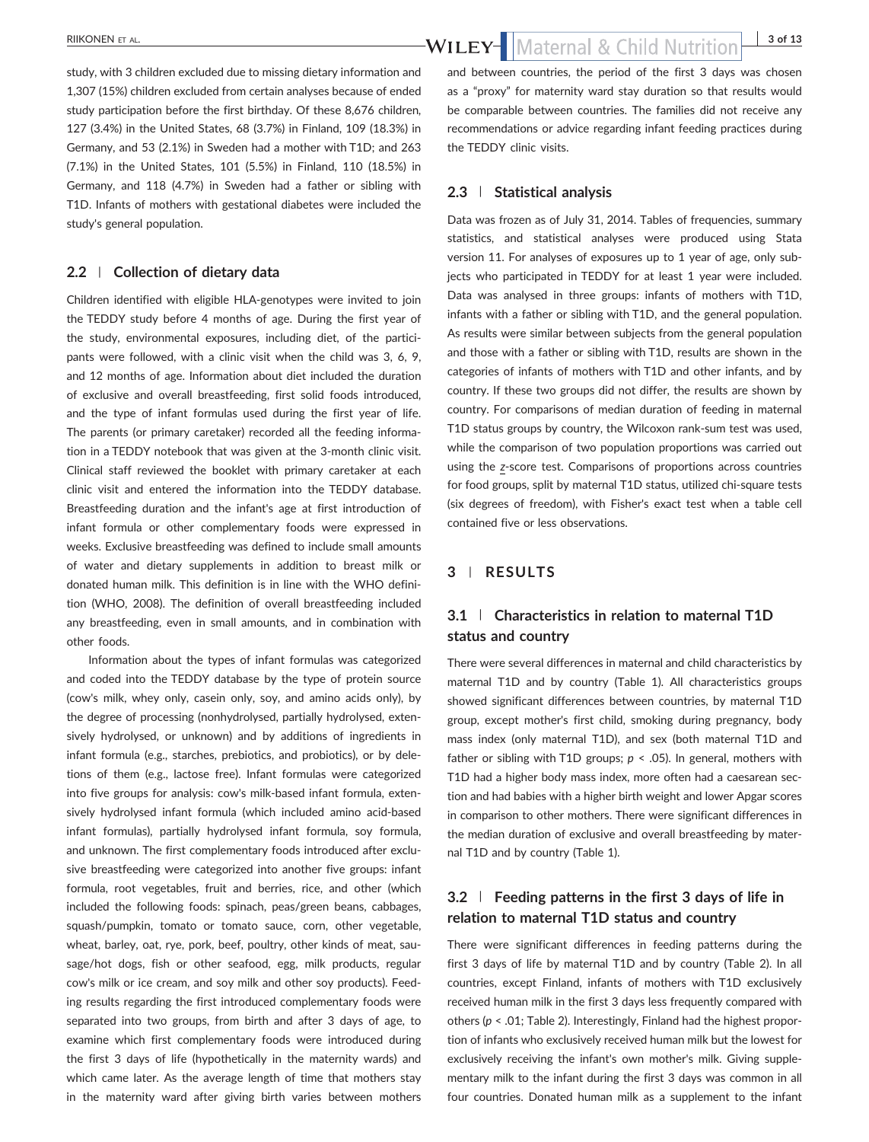study, with 3 children excluded due to missing dietary information and 1,307 (15%) children excluded from certain analyses because of ended study participation before the first birthday. Of these 8,676 children, 127 (3.4%) in the United States, 68 (3.7%) in Finland, 109 (18.3%) in Germany, and 53 (2.1%) in Sweden had a mother with T1D; and 263 (7.1%) in the United States, 101 (5.5%) in Finland, 110 (18.5%) in Germany, and 118 (4.7%) in Sweden had a father or sibling with T1D. Infants of mothers with gestational diabetes were included the study's general population.

### **2.2** | **Collection of dietary data**

Children identified with eligible HLA‐genotypes were invited to join the TEDDY study before 4 months of age. During the first year of the study, environmental exposures, including diet, of the participants were followed, with a clinic visit when the child was 3, 6, 9, and 12 months of age. Information about diet included the duration of exclusive and overall breastfeeding, first solid foods introduced, and the type of infant formulas used during the first year of life. The parents (or primary caretaker) recorded all the feeding information in a TEDDY notebook that was given at the 3‐month clinic visit. Clinical staff reviewed the booklet with primary caretaker at each clinic visit and entered the information into the TEDDY database. Breastfeeding duration and the infant's age at first introduction of infant formula or other complementary foods were expressed in weeks. Exclusive breastfeeding was defined to include small amounts of water and dietary supplements in addition to breast milk or donated human milk. This definition is in line with the WHO definition (WHO, 2008). The definition of overall breastfeeding included any breastfeeding, even in small amounts, and in combination with other foods.

Information about the types of infant formulas was categorized and coded into the TEDDY database by the type of protein source (cow's milk, whey only, casein only, soy, and amino acids only), by the degree of processing (nonhydrolysed, partially hydrolysed, extensively hydrolysed, or unknown) and by additions of ingredients in infant formula (e.g., starches, prebiotics, and probiotics), or by deletions of them (e.g., lactose free). Infant formulas were categorized into five groups for analysis: cow's milk‐based infant formula, extensively hydrolysed infant formula (which included amino acid‐based infant formulas), partially hydrolysed infant formula, soy formula, and unknown. The first complementary foods introduced after exclusive breastfeeding were categorized into another five groups: infant formula, root vegetables, fruit and berries, rice, and other (which included the following foods: spinach, peas/green beans, cabbages, squash/pumpkin, tomato or tomato sauce, corn, other vegetable, wheat, barley, oat, rye, pork, beef, poultry, other kinds of meat, sausage/hot dogs, fish or other seafood, egg, milk products, regular cow's milk or ice cream, and soy milk and other soy products). Feeding results regarding the first introduced complementary foods were separated into two groups, from birth and after 3 days of age, to examine which first complementary foods were introduced during the first 3 days of life (hypothetically in the maternity wards) and which came later. As the average length of time that mothers stay in the maternity ward after giving birth varies between mothers

and between countries, the period of the first 3 days was chosen as a "proxy" for maternity ward stay duration so that results would be comparable between countries. The families did not receive any recommendations or advice regarding infant feeding practices during the TEDDY clinic visits.

## **2.3** | **Statistical analysis**

Data was frozen as of July 31, 2014. Tables of frequencies, summary statistics, and statistical analyses were produced using Stata version 11. For analyses of exposures up to 1 year of age, only subjects who participated in TEDDY for at least 1 year were included. Data was analysed in three groups: infants of mothers with T1D, infants with a father or sibling with T1D, and the general population. As results were similar between subjects from the general population and those with a father or sibling with T1D, results are shown in the categories of infants of mothers with T1D and other infants, and by country. If these two groups did not differ, the results are shown by country. For comparisons of median duration of feeding in maternal T1D status groups by country, the Wilcoxon rank‐sum test was used, while the comparison of two population proportions was carried out using the *z*‐score test. Comparisons of proportions across countries for food groups, split by maternal T1D status, utilized chi-square tests (six degrees of freedom), with Fisher's exact test when a table cell contained five or less observations.

# **3** | **RESULTS**

# **3.1** | **Characteristics in relation to maternal T1D status and country**

There were several differences in maternal and child characteristics by maternal T1D and by country (Table 1). All characteristics groups showed significant differences between countries, by maternal T1D group, except mother's first child, smoking during pregnancy, body mass index (only maternal T1D), and sex (both maternal T1D and father or sibling with T1D groups; *p* < .05). In general, mothers with T1D had a higher body mass index, more often had a caesarean section and had babies with a higher birth weight and lower Apgar scores in comparison to other mothers. There were significant differences in the median duration of exclusive and overall breastfeeding by maternal T1D and by country (Table 1).

# **3.2** | **Feeding patterns in the first 3 days of life in relation to maternal T1D status and country**

There were significant differences in feeding patterns during the first 3 days of life by maternal T1D and by country (Table 2). In all countries, except Finland, infants of mothers with T1D exclusively received human milk in the first 3 days less frequently compared with others (*p* < .01; Table 2). Interestingly, Finland had the highest proportion of infants who exclusively received human milk but the lowest for exclusively receiving the infant's own mother's milk. Giving supplementary milk to the infant during the first 3 days was common in all four countries. Donated human milk as a supplement to the infant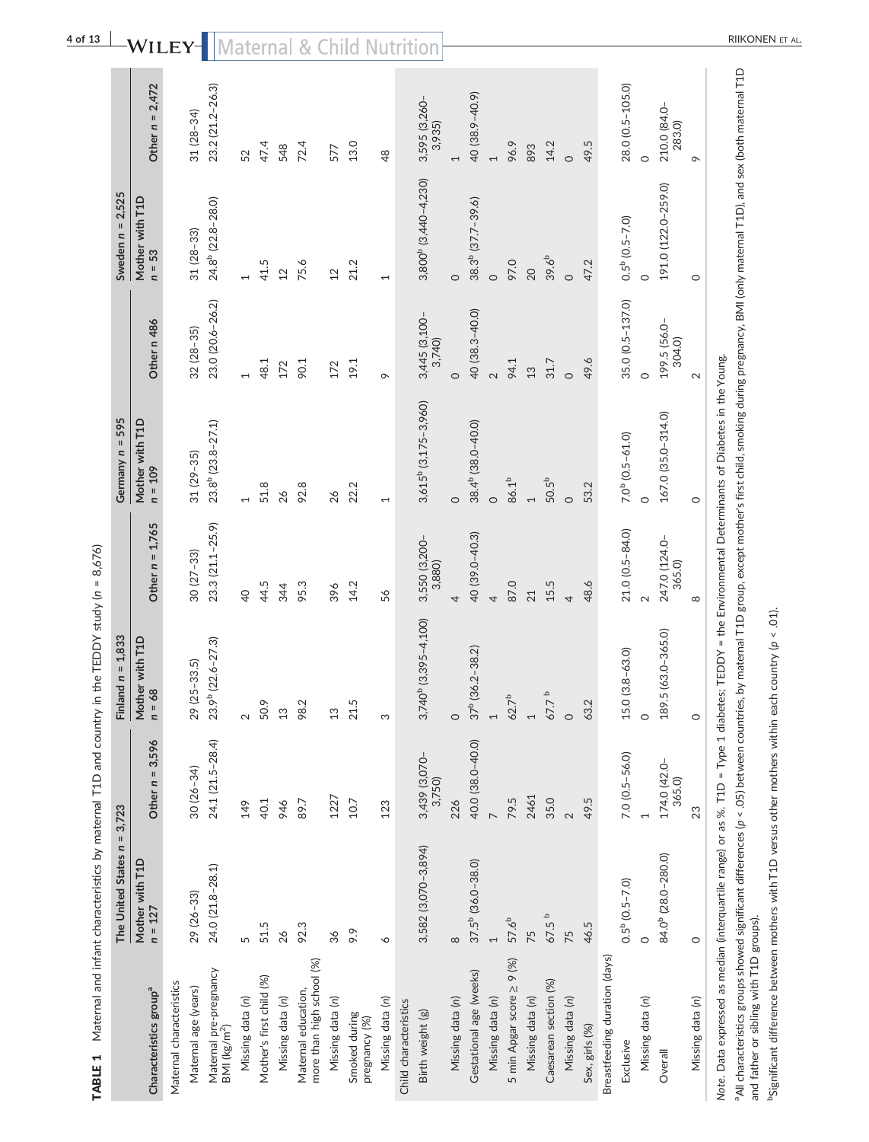| $\circ$<br>1<br>23.0 (20.6-26.2)<br>35.0 (0.5-137.0)<br>40 (38.3-40.0)<br>$3,445$ (3,100 - 3,740)<br>Other n 486<br>199.5 (56.0-<br>$32(28 - 35)$<br>304.0)<br>49.6<br>94.1<br>48.1<br>90.1<br>19.1<br>31.7<br>172<br>172<br>13<br>$\circ$<br>$\sim$<br>$\sigma$<br>$\circ$<br>$\circ$<br>3,615 <sup>b</sup> (3,175-3,960)<br>167.0 (35.0-314.0)<br>Mother with T1D<br>23.8 <sup>b</sup> (23.8-27.1)<br>38.4 <sup>b</sup> (38.0-40.0)<br>$7.0b$ (0.5-61.0)<br>$31(29-35)$<br>$n = 109$<br>86.1 <sup>b</sup><br>50.5 <sup>b</sup><br>92.8<br>53.2<br>51.8<br>22.2<br>26<br>26<br>$\circ$<br>$\overline{ }$<br>$\circ$<br>$\circ$<br>$\overline{ }$<br>$\overline{\phantom{0}}$<br>$\circ$<br>Other $n = 1,765$<br>23.3 (21.1-25.9)<br>21.0 (0.5-84.0)<br>40 (39.0-40.3)<br>247.0 (124.0-<br>3,550 (3,200-<br>3,880)<br>$30(27-33)$<br>365.0)<br>87.0<br>48.6<br>15.5<br>44.5<br>95.3<br>14.2<br>344<br>396<br>$\overline{Q}$<br>56<br>21<br>4<br>4<br>$\mathbf{\Omega}$<br>4<br>$3,740^{b}$ $(3,395-4,100)$<br>189.5 (63.0-365.0)<br>Mother with T1D<br>$n = 68$<br>23.9 <sup>b</sup> (22.6-27.3)<br>$37^b$ (36.2-38.2)<br>$15.0(3.8-63.0)$<br>29 (25-33.5)<br>$\mathbf{a}$<br>$62.7^{b}$<br>67.7<br>63.2<br>50.9<br>98.2<br>21.5<br>$13$<br>13<br>$\overline{a}$<br>$\overline{a}$<br>$\circ$<br>$\circ$<br>$\sim$<br>$\circ$<br>S<br>24.1 (21.5-28.4)<br>Other $n = 3,596$<br>40.0 (38.0-40.0)<br>3,439 (3,070-<br>$7.0 (0.5 - 56.0)$<br>174.0 (42.0-<br>$30(26 - 34)$<br>3,750)<br>365.0)<br>2461<br>1227<br>35.0<br>79.5<br>49.5<br>226<br>40.1<br>89.7<br>10.7<br>123<br>149<br>946<br>$\sim$<br>3,582 (3,070-3,894)<br>84.0 <sup>b</sup> (28.0-280.0)<br>Mother with T1D<br>$n = 127$<br>$37.5b$ (36.0-38.0)<br>24.0 (21.8-28.1)<br>$0.5^{\rm b}$ (0.5-7.0)<br>29 (26-33)<br>67.5 <sup>b</sup><br>57.6 <sup>b</sup><br>46.5<br>51.5<br>92.3<br>9.9<br>26<br>75<br>75<br>36<br>5<br>∘<br>${}^{\circ}$<br>$\circ$<br>$\overline{ }$<br>Breastfeeding duration (days)<br>5 min Apgar score $\geq$ 9 (%)<br>more than high school (%)<br>Maternal pre-pregnancy<br>Gestational age (weeks)<br>Mother's first child (%)<br>Caesarean section (%)<br>Maternal characteristics<br>Maternal age (years)<br>Characteristics group <sup>a</sup><br>Maternal education,<br>Missing data (n)<br>Missing data (n)<br>Missing data (n)<br>Missing data (n)<br>Missing data (n)<br>Missing data (n)<br>Missing data (n)<br>Missing data (n)<br>Missing data (n)<br>Child characteristics<br>Smoked during<br>Birth weight (g)<br>pregnancy (%)<br>$BM$ (kg/m <sup>2</sup> )<br>Sex, girls (%)<br>Exclusive<br>Overall | $\sf H$<br>The United States n | 3,723 | Finland $n = 1,833$ | Germany $n = 595$ | Sweden $n = 2,525$               |                         |
|-------------------------------------------------------------------------------------------------------------------------------------------------------------------------------------------------------------------------------------------------------------------------------------------------------------------------------------------------------------------------------------------------------------------------------------------------------------------------------------------------------------------------------------------------------------------------------------------------------------------------------------------------------------------------------------------------------------------------------------------------------------------------------------------------------------------------------------------------------------------------------------------------------------------------------------------------------------------------------------------------------------------------------------------------------------------------------------------------------------------------------------------------------------------------------------------------------------------------------------------------------------------------------------------------------------------------------------------------------------------------------------------------------------------------------------------------------------------------------------------------------------------------------------------------------------------------------------------------------------------------------------------------------------------------------------------------------------------------------------------------------------------------------------------------------------------------------------------------------------------------------------------------------------------------------------------------------------------------------------------------------------------------------------------------------------------------------------------------------------------------------------------------------------------------------------------------------------------------------------------------------------------------------------------------------------------------------------------------------------------------------------------------------------------------------------------------------------------------------------------------------------------------------------------------------------------------------------------------------------|--------------------------------|-------|---------------------|-------------------|----------------------------------|-------------------------|
|                                                                                                                                                                                                                                                                                                                                                                                                                                                                                                                                                                                                                                                                                                                                                                                                                                                                                                                                                                                                                                                                                                                                                                                                                                                                                                                                                                                                                                                                                                                                                                                                                                                                                                                                                                                                                                                                                                                                                                                                                                                                                                                                                                                                                                                                                                                                                                                                                                                                                                                                                                                                             |                                |       |                     |                   | Mother with T1D<br>$n = 53$      | Other $n = 2,472$       |
|                                                                                                                                                                                                                                                                                                                                                                                                                                                                                                                                                                                                                                                                                                                                                                                                                                                                                                                                                                                                                                                                                                                                                                                                                                                                                                                                                                                                                                                                                                                                                                                                                                                                                                                                                                                                                                                                                                                                                                                                                                                                                                                                                                                                                                                                                                                                                                                                                                                                                                                                                                                                             |                                |       |                     |                   |                                  |                         |
|                                                                                                                                                                                                                                                                                                                                                                                                                                                                                                                                                                                                                                                                                                                                                                                                                                                                                                                                                                                                                                                                                                                                                                                                                                                                                                                                                                                                                                                                                                                                                                                                                                                                                                                                                                                                                                                                                                                                                                                                                                                                                                                                                                                                                                                                                                                                                                                                                                                                                                                                                                                                             |                                |       |                     |                   | $31(28-33)$                      | $31(28-34)$             |
|                                                                                                                                                                                                                                                                                                                                                                                                                                                                                                                                                                                                                                                                                                                                                                                                                                                                                                                                                                                                                                                                                                                                                                                                                                                                                                                                                                                                                                                                                                                                                                                                                                                                                                                                                                                                                                                                                                                                                                                                                                                                                                                                                                                                                                                                                                                                                                                                                                                                                                                                                                                                             |                                |       |                     |                   | 24.8 <sup>b</sup> (22.8-28.0)    | 23.2 (21.2-26.3)        |
|                                                                                                                                                                                                                                                                                                                                                                                                                                                                                                                                                                                                                                                                                                                                                                                                                                                                                                                                                                                                                                                                                                                                                                                                                                                                                                                                                                                                                                                                                                                                                                                                                                                                                                                                                                                                                                                                                                                                                                                                                                                                                                                                                                                                                                                                                                                                                                                                                                                                                                                                                                                                             |                                |       |                     |                   |                                  | 52                      |
|                                                                                                                                                                                                                                                                                                                                                                                                                                                                                                                                                                                                                                                                                                                                                                                                                                                                                                                                                                                                                                                                                                                                                                                                                                                                                                                                                                                                                                                                                                                                                                                                                                                                                                                                                                                                                                                                                                                                                                                                                                                                                                                                                                                                                                                                                                                                                                                                                                                                                                                                                                                                             |                                |       |                     |                   | 41.5                             | 47.4                    |
|                                                                                                                                                                                                                                                                                                                                                                                                                                                                                                                                                                                                                                                                                                                                                                                                                                                                                                                                                                                                                                                                                                                                                                                                                                                                                                                                                                                                                                                                                                                                                                                                                                                                                                                                                                                                                                                                                                                                                                                                                                                                                                                                                                                                                                                                                                                                                                                                                                                                                                                                                                                                             |                                |       |                     |                   | 12                               | 548                     |
|                                                                                                                                                                                                                                                                                                                                                                                                                                                                                                                                                                                                                                                                                                                                                                                                                                                                                                                                                                                                                                                                                                                                                                                                                                                                                                                                                                                                                                                                                                                                                                                                                                                                                                                                                                                                                                                                                                                                                                                                                                                                                                                                                                                                                                                                                                                                                                                                                                                                                                                                                                                                             |                                |       |                     |                   | 75.6                             | 72.4                    |
|                                                                                                                                                                                                                                                                                                                                                                                                                                                                                                                                                                                                                                                                                                                                                                                                                                                                                                                                                                                                                                                                                                                                                                                                                                                                                                                                                                                                                                                                                                                                                                                                                                                                                                                                                                                                                                                                                                                                                                                                                                                                                                                                                                                                                                                                                                                                                                                                                                                                                                                                                                                                             |                                |       |                     |                   | 12                               | 577                     |
|                                                                                                                                                                                                                                                                                                                                                                                                                                                                                                                                                                                                                                                                                                                                                                                                                                                                                                                                                                                                                                                                                                                                                                                                                                                                                                                                                                                                                                                                                                                                                                                                                                                                                                                                                                                                                                                                                                                                                                                                                                                                                                                                                                                                                                                                                                                                                                                                                                                                                                                                                                                                             |                                |       |                     |                   | 21.2                             | 13.0                    |
|                                                                                                                                                                                                                                                                                                                                                                                                                                                                                                                                                                                                                                                                                                                                                                                                                                                                                                                                                                                                                                                                                                                                                                                                                                                                                                                                                                                                                                                                                                                                                                                                                                                                                                                                                                                                                                                                                                                                                                                                                                                                                                                                                                                                                                                                                                                                                                                                                                                                                                                                                                                                             |                                |       |                     |                   |                                  | $\frac{8}{3}$           |
|                                                                                                                                                                                                                                                                                                                                                                                                                                                                                                                                                                                                                                                                                                                                                                                                                                                                                                                                                                                                                                                                                                                                                                                                                                                                                                                                                                                                                                                                                                                                                                                                                                                                                                                                                                                                                                                                                                                                                                                                                                                                                                                                                                                                                                                                                                                                                                                                                                                                                                                                                                                                             |                                |       |                     |                   |                                  |                         |
|                                                                                                                                                                                                                                                                                                                                                                                                                                                                                                                                                                                                                                                                                                                                                                                                                                                                                                                                                                                                                                                                                                                                                                                                                                                                                                                                                                                                                                                                                                                                                                                                                                                                                                                                                                                                                                                                                                                                                                                                                                                                                                                                                                                                                                                                                                                                                                                                                                                                                                                                                                                                             |                                |       |                     |                   | 3,800 <sup>b</sup> (3,440-4,230) | 3,595 (3,260-<br>3,935) |
|                                                                                                                                                                                                                                                                                                                                                                                                                                                                                                                                                                                                                                                                                                                                                                                                                                                                                                                                                                                                                                                                                                                                                                                                                                                                                                                                                                                                                                                                                                                                                                                                                                                                                                                                                                                                                                                                                                                                                                                                                                                                                                                                                                                                                                                                                                                                                                                                                                                                                                                                                                                                             |                                |       |                     |                   | $\circ$                          |                         |
|                                                                                                                                                                                                                                                                                                                                                                                                                                                                                                                                                                                                                                                                                                                                                                                                                                                                                                                                                                                                                                                                                                                                                                                                                                                                                                                                                                                                                                                                                                                                                                                                                                                                                                                                                                                                                                                                                                                                                                                                                                                                                                                                                                                                                                                                                                                                                                                                                                                                                                                                                                                                             |                                |       |                     |                   | 38.3 <sup>b</sup> (37.7-39.6)    | 40 (38.9-40.9)          |
|                                                                                                                                                                                                                                                                                                                                                                                                                                                                                                                                                                                                                                                                                                                                                                                                                                                                                                                                                                                                                                                                                                                                                                                                                                                                                                                                                                                                                                                                                                                                                                                                                                                                                                                                                                                                                                                                                                                                                                                                                                                                                                                                                                                                                                                                                                                                                                                                                                                                                                                                                                                                             |                                |       |                     |                   | $\circ$                          |                         |
|                                                                                                                                                                                                                                                                                                                                                                                                                                                                                                                                                                                                                                                                                                                                                                                                                                                                                                                                                                                                                                                                                                                                                                                                                                                                                                                                                                                                                                                                                                                                                                                                                                                                                                                                                                                                                                                                                                                                                                                                                                                                                                                                                                                                                                                                                                                                                                                                                                                                                                                                                                                                             |                                |       |                     |                   | 97.0                             | 96.9                    |
|                                                                                                                                                                                                                                                                                                                                                                                                                                                                                                                                                                                                                                                                                                                                                                                                                                                                                                                                                                                                                                                                                                                                                                                                                                                                                                                                                                                                                                                                                                                                                                                                                                                                                                                                                                                                                                                                                                                                                                                                                                                                                                                                                                                                                                                                                                                                                                                                                                                                                                                                                                                                             |                                |       |                     |                   | 20                               | 893                     |
|                                                                                                                                                                                                                                                                                                                                                                                                                                                                                                                                                                                                                                                                                                                                                                                                                                                                                                                                                                                                                                                                                                                                                                                                                                                                                                                                                                                                                                                                                                                                                                                                                                                                                                                                                                                                                                                                                                                                                                                                                                                                                                                                                                                                                                                                                                                                                                                                                                                                                                                                                                                                             |                                |       |                     |                   | $39.6^{b}$                       | 14.2                    |
|                                                                                                                                                                                                                                                                                                                                                                                                                                                                                                                                                                                                                                                                                                                                                                                                                                                                                                                                                                                                                                                                                                                                                                                                                                                                                                                                                                                                                                                                                                                                                                                                                                                                                                                                                                                                                                                                                                                                                                                                                                                                                                                                                                                                                                                                                                                                                                                                                                                                                                                                                                                                             |                                |       |                     |                   | $\circ$                          | $\circ$                 |
|                                                                                                                                                                                                                                                                                                                                                                                                                                                                                                                                                                                                                                                                                                                                                                                                                                                                                                                                                                                                                                                                                                                                                                                                                                                                                                                                                                                                                                                                                                                                                                                                                                                                                                                                                                                                                                                                                                                                                                                                                                                                                                                                                                                                                                                                                                                                                                                                                                                                                                                                                                                                             |                                |       |                     |                   | 47.2                             | 49.5                    |
|                                                                                                                                                                                                                                                                                                                                                                                                                                                                                                                                                                                                                                                                                                                                                                                                                                                                                                                                                                                                                                                                                                                                                                                                                                                                                                                                                                                                                                                                                                                                                                                                                                                                                                                                                                                                                                                                                                                                                                                                                                                                                                                                                                                                                                                                                                                                                                                                                                                                                                                                                                                                             |                                |       |                     |                   |                                  |                         |
|                                                                                                                                                                                                                                                                                                                                                                                                                                                                                                                                                                                                                                                                                                                                                                                                                                                                                                                                                                                                                                                                                                                                                                                                                                                                                                                                                                                                                                                                                                                                                                                                                                                                                                                                                                                                                                                                                                                                                                                                                                                                                                                                                                                                                                                                                                                                                                                                                                                                                                                                                                                                             |                                |       |                     |                   | $0.5^{\rm b}$ (0.5-7.0)          | 28.0 (0.5-105.0)        |
|                                                                                                                                                                                                                                                                                                                                                                                                                                                                                                                                                                                                                                                                                                                                                                                                                                                                                                                                                                                                                                                                                                                                                                                                                                                                                                                                                                                                                                                                                                                                                                                                                                                                                                                                                                                                                                                                                                                                                                                                                                                                                                                                                                                                                                                                                                                                                                                                                                                                                                                                                                                                             |                                |       |                     |                   |                                  | $\circ$                 |
|                                                                                                                                                                                                                                                                                                                                                                                                                                                                                                                                                                                                                                                                                                                                                                                                                                                                                                                                                                                                                                                                                                                                                                                                                                                                                                                                                                                                                                                                                                                                                                                                                                                                                                                                                                                                                                                                                                                                                                                                                                                                                                                                                                                                                                                                                                                                                                                                                                                                                                                                                                                                             |                                |       |                     |                   | 191.0 (122.0-259.0)              | 210.0 (84.0-<br>283.0)  |
| $\circ$<br>$\sim$<br>$\circ$<br>${}^{\circ}$<br>$\circ$<br>23<br>$\circ$<br>Missing data (n)                                                                                                                                                                                                                                                                                                                                                                                                                                                                                                                                                                                                                                                                                                                                                                                                                                                                                                                                                                                                                                                                                                                                                                                                                                                                                                                                                                                                                                                                                                                                                                                                                                                                                                                                                                                                                                                                                                                                                                                                                                                                                                                                                                                                                                                                                                                                                                                                                                                                                                                |                                |       |                     |                   |                                  | $\sigma$                |

aAll characteristics groups showed significant differences (*p* < .05) between countries, by maternal T1D group, except mother's first child, smoking during pregnancy, BMI (only maternal T1D), and sex (both maternal T1D I. ᆱ 그<br>과 ⋑ ຼ<br>≏ີ  $\frac{1}{2}$ ⋋ □<br>。 erence: All characteristics groups showed signified.<br>and father or sibling with T1D groups). and father or sibling with T1D groups).

bsignificant difference between mothers with T1D versus other mothers within each country (p < .01). bSignificant difference between mothers with T1D versus other mothers within each country (*p* < .01).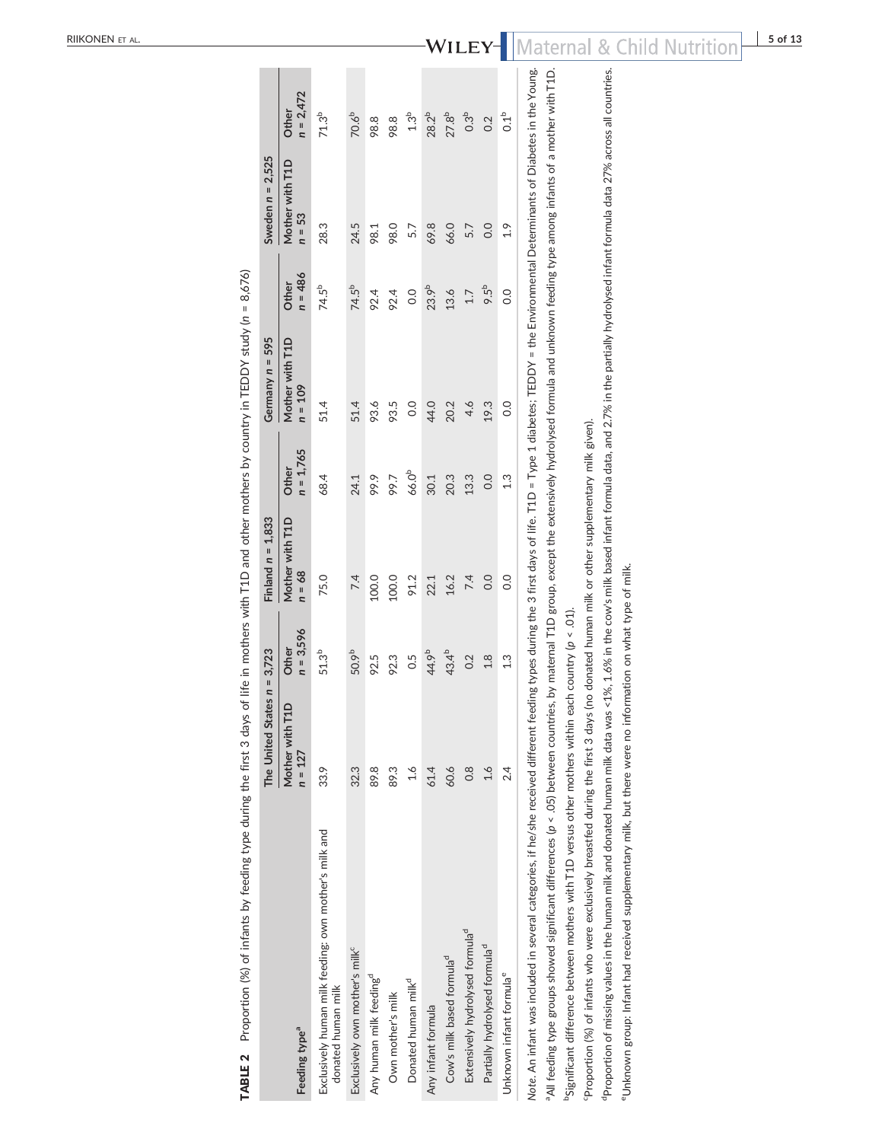| TABLE 2 Proportion (%) of infants by feeding type during the first 3 days of life in mothers with T1D and other mothers by country in TEDDY study (n = 8,676)                                                                                                                                                                                                                                                                                                                                                                                                                                                                                                                                       |                               |                      |                             |                      |                              |                    |                           |                      |  |
|-----------------------------------------------------------------------------------------------------------------------------------------------------------------------------------------------------------------------------------------------------------------------------------------------------------------------------------------------------------------------------------------------------------------------------------------------------------------------------------------------------------------------------------------------------------------------------------------------------------------------------------------------------------------------------------------------------|-------------------------------|----------------------|-----------------------------|----------------------|------------------------------|--------------------|---------------------------|----------------------|--|
|                                                                                                                                                                                                                                                                                                                                                                                                                                                                                                                                                                                                                                                                                                     | The United States $n = 3,723$ |                      | Finland $n = 1,833$         |                      | Germany $n = 595$            |                    | Sweden $n = 2,525$        |                      |  |
| Feeding type <sup>a</sup>                                                                                                                                                                                                                                                                                                                                                                                                                                                                                                                                                                                                                                                                           | Mother with T1D<br>$n = 127$  | $n = 3,596$<br>Other | Mother with T1D<br>$n = 68$ | $n = 1,765$<br>Other | Mother with T1D<br>$n = 109$ | $n = 486$<br>Other | Mother with T1D<br>n = 53 | $n = 2,472$<br>Other |  |
| Exclusively human milk feeding: own mother's milk and<br>donated human milk                                                                                                                                                                                                                                                                                                                                                                                                                                                                                                                                                                                                                         | 33.9                          | $51.3^{b}$           | 75.0                        | 68.4                 | 51.4                         | 74.5 <sup>b</sup>  | 28.3                      | $71.3^{b}$           |  |
| Exclusively own mother's milk <sup>c</sup>                                                                                                                                                                                                                                                                                                                                                                                                                                                                                                                                                                                                                                                          | 32.3                          | 50.9b                | 7.4                         | 24.1                 | 51.4                         | 74.5 <sup>b</sup>  | 24.5                      | 70.6 <sup>b</sup>    |  |
| Any human milk feeding <sup>d</sup>                                                                                                                                                                                                                                                                                                                                                                                                                                                                                                                                                                                                                                                                 | 89.8                          | 92.5                 | 100.0                       | 99.9                 | 93.6                         | 92.4               | 98.1                      | 98.8                 |  |
| Own mother's milk                                                                                                                                                                                                                                                                                                                                                                                                                                                                                                                                                                                                                                                                                   | 89.3                          | 92.3                 | 100.0                       | 566                  | 93.5                         | 92.4               | 98.0                      | 98.8                 |  |
| Donated human milk <sup>d</sup>                                                                                                                                                                                                                                                                                                                                                                                                                                                                                                                                                                                                                                                                     | 1.6                           | 0.5                  | 91.2                        | 66.0 <sup>b</sup>    | $\overline{0}$               | 0.0                | 5.7                       | 1.3 <sup>b</sup>     |  |
| Any infant formula                                                                                                                                                                                                                                                                                                                                                                                                                                                                                                                                                                                                                                                                                  | 61.4                          | 44.9b                | 22.1                        | 30.1                 | 44.0                         | 23.9b              | 69.8                      | $28.2^{b}$           |  |
| Cow's milk based formula <sup>d</sup>                                                                                                                                                                                                                                                                                                                                                                                                                                                                                                                                                                                                                                                               | 60.6                          | 43.4 <sup>b</sup>    | 16.2                        | 20.3                 | 20.2                         | 13.6               | 66.0                      | $27.8^{b}$           |  |
| Extensively hydrolysed formula <sup>d</sup>                                                                                                                                                                                                                                                                                                                                                                                                                                                                                                                                                                                                                                                         | $\frac{8}{2}$                 | 0.2                  | 74                          | 13.3                 | 4.6                          | 1.7                | 5.7                       | 0.3 <sup>b</sup>     |  |
| Partially hydrolysed formula <sup>d</sup>                                                                                                                                                                                                                                                                                                                                                                                                                                                                                                                                                                                                                                                           | 1.6                           | 1.8                  | 0.0                         | 0.0                  | 19.3                         | 9.5 <sup>b</sup>   | 0.0                       | 0.2                  |  |
| Unknown infant formula <sup>e</sup>                                                                                                                                                                                                                                                                                                                                                                                                                                                                                                                                                                                                                                                                 | 24                            | 1.3                  | $\overline{0}$              | 1.3                  | $\frac{0}{2}$                | 0.0                | 1.9                       | 0.1 <sup>b</sup>     |  |
| Note. An infant was included in several categories, if he/she received different feeding types during the 3 first days of life. T1D = Type 1 diabetes; TEDDY = the Environmental Determinants of Diabetes in the Young.<br>"All feeding type groups showed significant differences (p < .05) between countries, by maternal T1D group, except the extensively hydrolysed formula and unknown feeding type among infants of a mother with T1D.<br>Proportion (%) of infants who were exclusively breastfed during the first 3 days (no donated human milk or other supplementary milk given).<br>PSignificant difference between mothers with T1D versus other mothers within each country (p < .01) |                               |                      |                             |                      |                              |                    |                           |                      |  |
|                                                                                                                                                                                                                                                                                                                                                                                                                                                                                                                                                                                                                                                                                                     |                               |                      |                             |                      |                              |                    |                           |                      |  |

TABLE 2 Proportion (%) of infants by feeding type during the first 3 days of life in mothers with T1D and other mothers by country in TEDDY study (*n* = 8,676) Ŕ  $\ddot{\phantom{a}}$ l. Å J. l,  $\Gamma$ Ŕ É, J. ستان که . Ŕ  $\frac{1}{2}$ ₫, Ŕ  $\ddot{\phantom{a}}$ l, ŧ  $\ddot{\phantom{0}}$  $\ddot{\phantom{a}}$ ے دیے  $\sim$ Ŕ .<br>م TADIE<sub>2</sub>

<sup>d</sup>Proportion of missing values in the human milk and donated human milk data was <1%, 1.6% in the cow's milk based infant formula data, and 2.7% in the partially hydrolysed infant formula data 27% across all countries. dProportion of missing values in the human milk and donated human milk data was <1%, 1.6% in the cow's milk based infant formula data, and 2.7% in the partially hydrolysed infant formula data 27% across all countries.

<sup>e</sup>Unknown group: Infant had received supplementary milk, but there were no information on what type of milk. eUnknown group: Infant had received supplementary milk, but there were no information on what type of milk.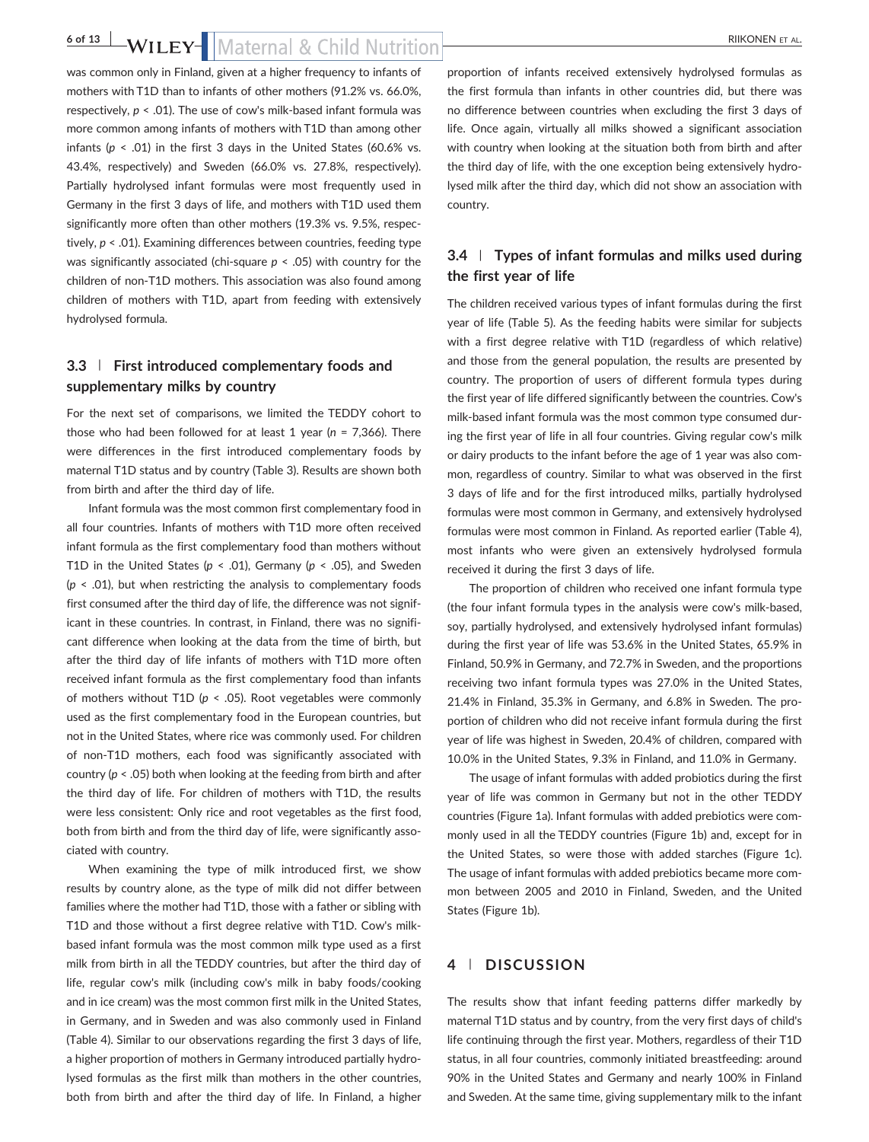was common only in Finland, given at a higher frequency to infants of mothers with T1D than to infants of other mothers (91.2% vs. 66.0%, respectively, *p* < .01). The use of cow's milk‐based infant formula was more common among infants of mothers with T1D than among other infants ( $p \le 0.01$ ) in the first 3 days in the United States (60.6% vs. 43.4%, respectively) and Sweden (66.0% vs. 27.8%, respectively). Partially hydrolysed infant formulas were most frequently used in Germany in the first 3 days of life, and mothers with T1D used them significantly more often than other mothers (19.3% vs. 9.5%, respectively, *p* < .01). Examining differences between countries, feeding type was significantly associated (chi-square  $p < .05$ ) with country for the children of non‐T1D mothers. This association was also found among children of mothers with T1D, apart from feeding with extensively hydrolysed formula.

# **3.3** | **First introduced complementary foods and supplementary milks by country**

For the next set of comparisons, we limited the TEDDY cohort to those who had been followed for at least 1 year (*n* = 7,366). There were differences in the first introduced complementary foods by maternal T1D status and by country (Table 3). Results are shown both from birth and after the third day of life.

Infant formula was the most common first complementary food in all four countries. Infants of mothers with T1D more often received infant formula as the first complementary food than mothers without T1D in the United States ( $p < .01$ ), Germany ( $p < .05$ ), and Sweden (*p* < .01), but when restricting the analysis to complementary foods first consumed after the third day of life, the difference was not significant in these countries. In contrast, in Finland, there was no significant difference when looking at the data from the time of birth, but after the third day of life infants of mothers with T1D more often received infant formula as the first complementary food than infants of mothers without T1D (*p* < .05). Root vegetables were commonly used as the first complementary food in the European countries, but not in the United States, where rice was commonly used. For children of non‐T1D mothers, each food was significantly associated with country (*p* < .05) both when looking at the feeding from birth and after the third day of life. For children of mothers with T1D, the results were less consistent: Only rice and root vegetables as the first food, both from birth and from the third day of life, were significantly associated with country.

When examining the type of milk introduced first, we show results by country alone, as the type of milk did not differ between families where the mother had T1D, those with a father or sibling with T1D and those without a first degree relative with T1D. Cow's milk‐ based infant formula was the most common milk type used as a first milk from birth in all the TEDDY countries, but after the third day of life, regular cow's milk (including cow's milk in baby foods/cooking and in ice cream) was the most common first milk in the United States, in Germany, and in Sweden and was also commonly used in Finland (Table 4). Similar to our observations regarding the first 3 days of life, a higher proportion of mothers in Germany introduced partially hydrolysed formulas as the first milk than mothers in the other countries, both from birth and after the third day of life. In Finland, a higher proportion of infants received extensively hydrolysed formulas as the first formula than infants in other countries did, but there was no difference between countries when excluding the first 3 days of life. Once again, virtually all milks showed a significant association with country when looking at the situation both from birth and after the third day of life, with the one exception being extensively hydrolysed milk after the third day, which did not show an association with country.

# **3.4** | **Types of infant formulas and milks used during the first year of life**

The children received various types of infant formulas during the first year of life (Table 5). As the feeding habits were similar for subjects with a first degree relative with T1D (regardless of which relative) and those from the general population, the results are presented by country. The proportion of users of different formula types during the first year of life differed significantly between the countries. Cow's milk-based infant formula was the most common type consumed during the first year of life in all four countries. Giving regular cow's milk or dairy products to the infant before the age of 1 year was also common, regardless of country. Similar to what was observed in the first 3 days of life and for the first introduced milks, partially hydrolysed formulas were most common in Germany, and extensively hydrolysed formulas were most common in Finland. As reported earlier (Table 4), most infants who were given an extensively hydrolysed formula received it during the first 3 days of life.

The proportion of children who received one infant formula type (the four infant formula types in the analysis were cow's milk‐based, soy, partially hydrolysed, and extensively hydrolysed infant formulas) during the first year of life was 53.6% in the United States, 65.9% in Finland, 50.9% in Germany, and 72.7% in Sweden, and the proportions receiving two infant formula types was 27.0% in the United States, 21.4% in Finland, 35.3% in Germany, and 6.8% in Sweden. The proportion of children who did not receive infant formula during the first year of life was highest in Sweden, 20.4% of children, compared with 10.0% in the United States, 9.3% in Finland, and 11.0% in Germany.

The usage of infant formulas with added probiotics during the first year of life was common in Germany but not in the other TEDDY countries (Figure 1a). Infant formulas with added prebiotics were commonly used in all the TEDDY countries (Figure 1b) and, except for in the United States, so were those with added starches (Figure 1c). The usage of infant formulas with added prebiotics became more common between 2005 and 2010 in Finland, Sweden, and the United States (Figure 1b).

# **4** | **DISCUSSION**

The results show that infant feeding patterns differ markedly by maternal T1D status and by country, from the very first days of child's life continuing through the first year. Mothers, regardless of their T1D status, in all four countries, commonly initiated breastfeeding: around 90% in the United States and Germany and nearly 100% in Finland and Sweden. At the same time, giving supplementary milk to the infant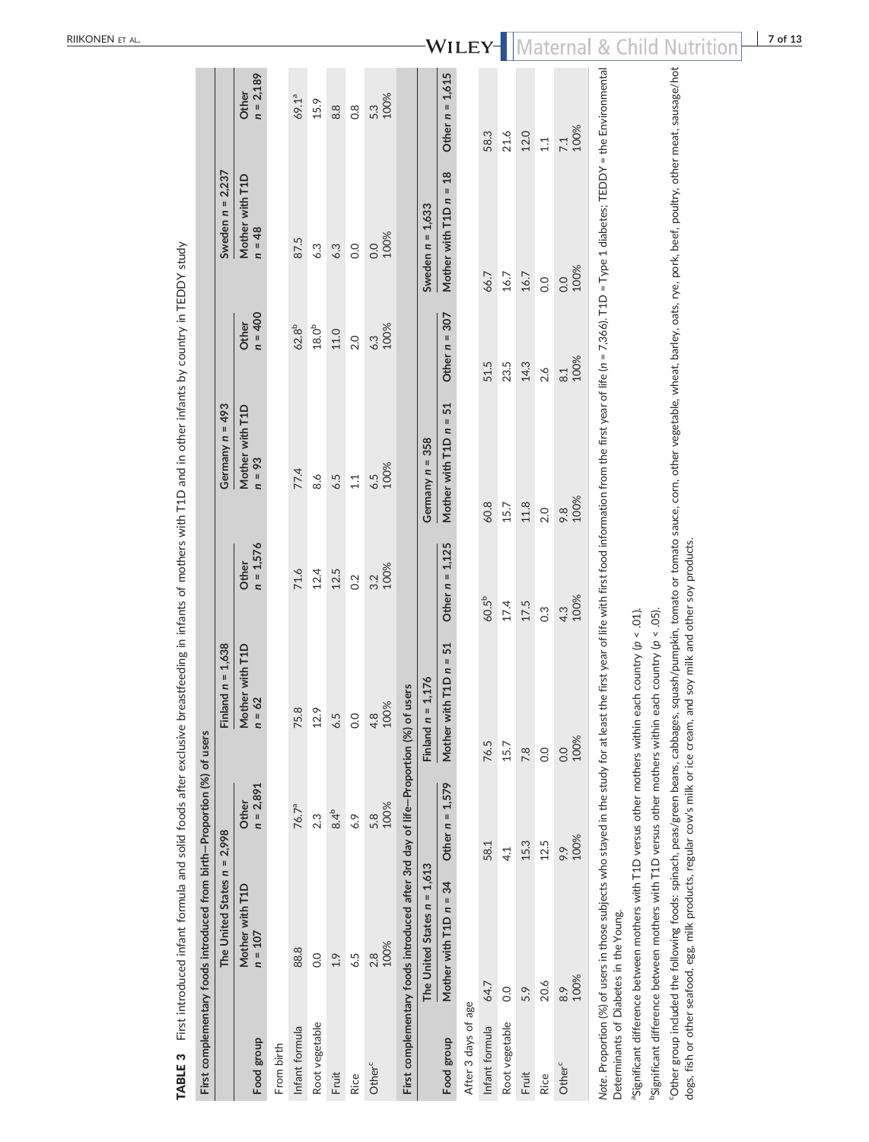|                     | ABLE 3 First introduced intant formula and solid foods after exclusive                                                                                                                                                                                                                                                                          |                      |                                                       |                      | breastfeeding in infants of mothers with 11D and in other infants by country in IEDDY study |                    |                             |                      |
|---------------------|-------------------------------------------------------------------------------------------------------------------------------------------------------------------------------------------------------------------------------------------------------------------------------------------------------------------------------------------------|----------------------|-------------------------------------------------------|----------------------|---------------------------------------------------------------------------------------------|--------------------|-----------------------------|----------------------|
|                     | First complementary foods introduced from birth-Proportion (%) of users                                                                                                                                                                                                                                                                         |                      |                                                       |                      |                                                                                             |                    |                             |                      |
|                     | The United States $n = 2.998$                                                                                                                                                                                                                                                                                                                   |                      | Finland $n = 1,638$                                   |                      | Germany $n = 493$                                                                           |                    | Sweden $n = 2,237$          |                      |
| Food group          | Mother with T1D<br>$n = 107$                                                                                                                                                                                                                                                                                                                    | $n = 2,891$<br>Other | Mother with T1D<br>$= 62$<br>$\overline{\phantom{a}}$ | $n = 1,576$<br>Other | Mother with T1D<br>$n = 93$                                                                 | $n = 400$<br>Other | Mother with T1D<br>$n = 48$ | $n = 2,189$<br>Other |
| From birth          |                                                                                                                                                                                                                                                                                                                                                 |                      |                                                       |                      |                                                                                             |                    |                             |                      |
| Infant formula      | 88.8                                                                                                                                                                                                                                                                                                                                            | 76.7 <sup>a</sup>    | 75.8                                                  | 71.6                 | 77.4                                                                                        | 62.8 <sup>b</sup>  | 87.5                        | 69.1ª                |
| Root vegetable      | 0.0                                                                                                                                                                                                                                                                                                                                             | 2.3                  | 12.9                                                  | 12.4                 | 8.6                                                                                         | 18.0 <sup>b</sup>  | 6.3                         | 15.9                 |
| Fruit               | 1.9                                                                                                                                                                                                                                                                                                                                             | $8.4^{b}$            | 6.5                                                   | 12.5                 | 6.5                                                                                         | 11.0               | 6.3                         | 8.8                  |
| Rice                | 6.5                                                                                                                                                                                                                                                                                                                                             | 6.9                  | 0.0                                                   | 0.2                  | 11                                                                                          | 2.0                | $\overline{0}$              | $\frac{8}{10}$       |
| Other <sup>c</sup>  | 100%<br>2.8                                                                                                                                                                                                                                                                                                                                     | 100%<br>5.8          | 4.8<br>100%                                           | 100%<br>3.2          | 100%<br>6.5                                                                                 | 100%<br>6.3        | 100%<br>$\overline{0}$      | 100%<br>5.3          |
|                     | First complementary foods introduced after 3rd day of life-Proportion (%) of users                                                                                                                                                                                                                                                              |                      |                                                       |                      |                                                                                             |                    |                             |                      |
|                     | The United States $n = 1.613$                                                                                                                                                                                                                                                                                                                   |                      | Finland $n = 1,176$                                   |                      | Germany $n = 358$                                                                           |                    | Sweden $n = 1,633$          |                      |
| Food group          | Mother with T1D n = 34                                                                                                                                                                                                                                                                                                                          | Other $n = 1,579$    | with $T1D n = 51$<br>Mother                           | Other $n = 1,125$    | 51<br>Mother with T1D n =                                                                   | 307<br>Other $n =$ | Mother with T1D n = 18      | Other $n = 1,615$    |
| After 3 days of age |                                                                                                                                                                                                                                                                                                                                                 |                      |                                                       |                      |                                                                                             |                    |                             |                      |
| Infant formula      | 64.7                                                                                                                                                                                                                                                                                                                                            | 58.1                 | 76.5                                                  | 60.5 <sup>b</sup>    | 60.8                                                                                        | 51.5               | 66.7                        | 58.3                 |
| Root vegetable      | $\overline{0}$                                                                                                                                                                                                                                                                                                                                  | 4.1                  | 15.7                                                  | 17.4                 | 15.7                                                                                        | 23.5               | 16.7                        | 21.6                 |
| Fruit               | 5.9                                                                                                                                                                                                                                                                                                                                             | 15.3                 | 7.8                                                   | 17.5                 | 11.8                                                                                        | 14.3               | 16.7                        | 12.0                 |
| Rice                | 20.6                                                                                                                                                                                                                                                                                                                                            | 12.5                 | 0.0                                                   | 0.3                  | 2.0                                                                                         | 2.6                | 0.0                         | 1.1                  |
| Other <sup>c</sup>  | 100%<br>8.9                                                                                                                                                                                                                                                                                                                                     | 100%<br>9.9          | 100%<br>0.0                                           | 100%<br>4.3          | 100%<br>9.8                                                                                 | 100%<br>$\approx$  | 100%<br>0.0                 | 100%<br>7.1          |
|                     | Note. Proportion (%) of users in those subjects who stayed in the study for at least the first year of life with first food information from the first year of life (n = 7,366). T1D = Type 1 diabetes; TEDDY = the Environmen<br>Determinants of Diabetes in the Young.                                                                        |                      |                                                       |                      |                                                                                             |                    |                             |                      |
|                     | Significant difference between mothers with T1D versus other mothers within                                                                                                                                                                                                                                                                     |                      | each country (p < .01).                               |                      |                                                                                             |                    |                             |                      |
|                     | <sup>9</sup> Significant difference between mothers with T1D versus other mothers within                                                                                                                                                                                                                                                        |                      | each country ( $p < .05$ ).                           |                      |                                                                                             |                    |                             |                      |
|                     | "Other group included the following foods: spinach, peas/green beans, cabbages, squash/pumpkin, tomato or tomato sauce, corn, other vegetable, wheat, barley, oats, rye, pork, beef, poultry, other meat, sausage/hot<br>dogs, fish or other seafood, egg, milk products, regular cow's milk or ice cream, and soy milk and other soy products. |                      |                                                       |                      |                                                                                             |                    |                             |                      |

TABLE 3 First introduced infant formula and solid foods after exclusive breastfeeding in infants of mothers with T1D and in other infants by country in TEDDY study -i

RIIKONEN ET AL .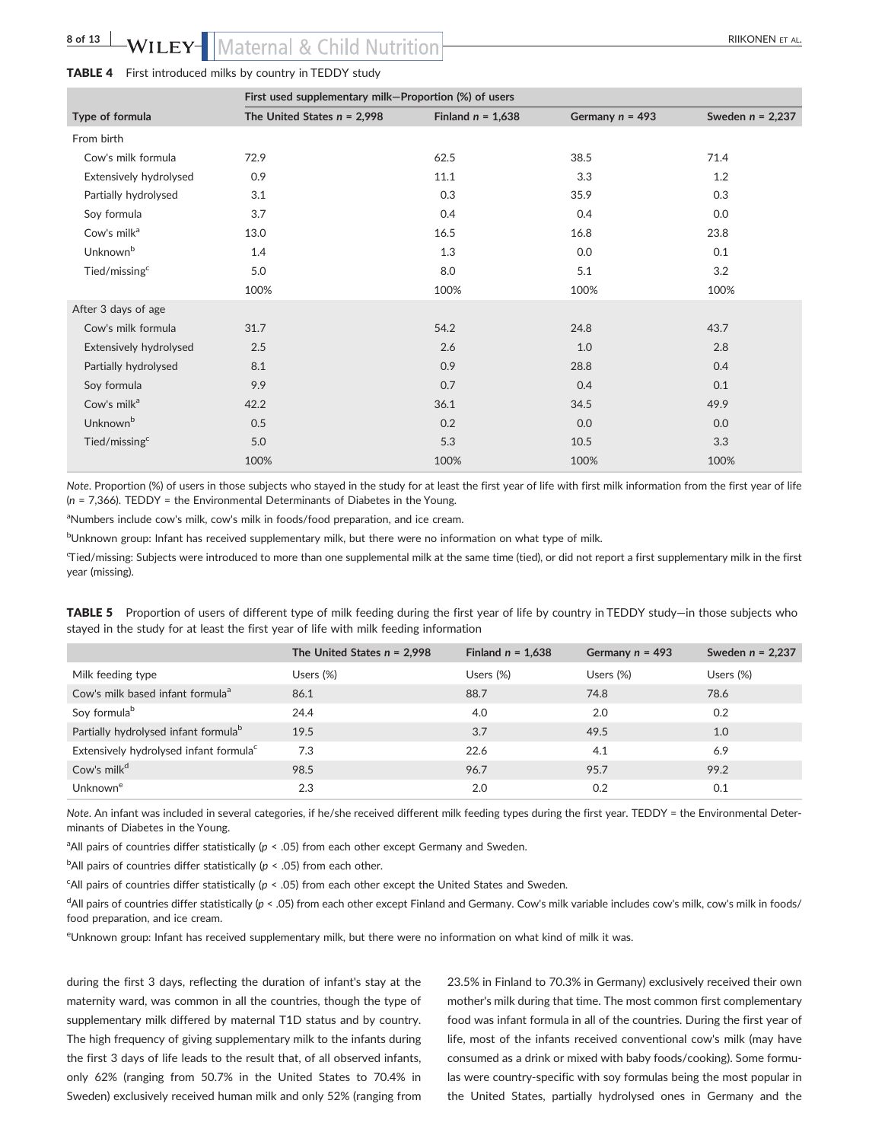#### TABLE 4 First introduced milks by country in TEDDY study

|                           | First used supplementary milk-Proportion (%) of users |                     |                   |                    |  |  |
|---------------------------|-------------------------------------------------------|---------------------|-------------------|--------------------|--|--|
| Type of formula           | The United States $n = 2,998$                         | Finland $n = 1,638$ | Germany $n = 493$ | Sweden $n = 2,237$ |  |  |
| From birth                |                                                       |                     |                   |                    |  |  |
| Cow's milk formula        | 72.9                                                  | 62.5                | 38.5              | 71.4               |  |  |
| Extensively hydrolysed    | 0.9                                                   | 11.1                | 3.3               | 1.2                |  |  |
| Partially hydrolysed      | 3.1                                                   | 0.3                 | 35.9              | 0.3                |  |  |
| Soy formula               | 3.7                                                   | 0.4                 | 0.4               | 0.0                |  |  |
| Cow's milk <sup>a</sup>   | 13.0                                                  | 16.5                | 16.8              | 23.8               |  |  |
| Unknown <sup>b</sup>      | 1.4                                                   | 1.3                 | 0.0               | 0.1                |  |  |
| Tied/missing <sup>c</sup> | 5.0                                                   | 8.0                 | 5.1               | 3.2                |  |  |
|                           | 100%                                                  | 100%                | 100%              | 100%               |  |  |
| After 3 days of age       |                                                       |                     |                   |                    |  |  |
| Cow's milk formula        | 31.7                                                  | 54.2                | 24.8              | 43.7               |  |  |
| Extensively hydrolysed    | 2.5                                                   | 2.6                 | 1.0               | 2.8                |  |  |
| Partially hydrolysed      | 8.1                                                   | 0.9                 | 28.8              | 0.4                |  |  |
| Soy formula               | 9.9                                                   | 0.7                 | 0.4               | 0.1                |  |  |
| Cow's milk <sup>a</sup>   | 42.2                                                  | 36.1                | 34.5              | 49.9               |  |  |
| Unknown <sup>b</sup>      | 0.5                                                   | 0.2                 | 0.0               | 0.0                |  |  |
| Tied/missing <sup>c</sup> | 5.0                                                   | 5.3                 | 10.5              | 3.3                |  |  |
|                           | 100%                                                  | 100%                | 100%              | 100%               |  |  |

*Note*. Proportion (%) of users in those subjects who stayed in the study for at least the first year of life with first milk information from the first year of life (*n* = 7,366). TEDDY = the Environmental Determinants of Diabetes in the Young.

<sup>a</sup>Numbers include cow's milk, cow's milk in foods/food preparation, and ice cream.

bUnknown group: Infant has received supplementary milk, but there were no information on what type of milk.

c Tied/missing: Subjects were introduced to more than one supplemental milk at the same time (tied), or did not report a first supplementary milk in the first year (missing).

TABLE 5 Proportion of users of different type of milk feeding during the first year of life by country in TEDDY study—in those subjects who stayed in the study for at least the first year of life with milk feeding information

|                                                    | The United States $n = 2,998$ | Finland $n = 1,638$ | Germany $n = 493$ | Sweden $n = 2,237$ |
|----------------------------------------------------|-------------------------------|---------------------|-------------------|--------------------|
| Milk feeding type                                  | Users $(\%)$                  | Users (%)           | Users (%)         | Users $(\%)$       |
| Cow's milk based infant formula <sup>a</sup>       | 86.1                          | 88.7                | 74.8              | 78.6               |
| Soy formula <sup>b</sup>                           | 24.4                          | 4.0                 | 2.0               | 0.2                |
| Partially hydrolysed infant formula <sup>b</sup>   | 19.5                          | 3.7                 | 49.5              | 1.0                |
| Extensively hydrolysed infant formula <sup>c</sup> | 7.3                           | 22.6                | 4.1               | 6.9                |
| Cow's milk <sup>d</sup>                            | 98.5                          | 96.7                | 95.7              | 99.2               |
| Unknowne                                           | 2.3                           | 2.0                 | 0.2               | 0.1                |

*Note*. An infant was included in several categories, if he/she received different milk feeding types during the first year. TEDDY = the Environmental Determinants of Diabetes in the Young.

<sup>a</sup> All pairs of countries differ statistically ( $p < .05$ ) from each other except Germany and Sweden.

<sup>b</sup>All pairs of countries differ statistically (*p* < .05) from each other.

c All pairs of countries differ statistically (*p* < .05) from each other except the United States and Sweden.

<sup>d</sup>All pairs of countries differ statistically (*p* < .05) from each other except Finland and Germany. Cow's milk variable includes cow's milk, cow's milk in foods/ food preparation, and ice cream.

e Unknown group: Infant has received supplementary milk, but there were no information on what kind of milk it was.

during the first 3 days, reflecting the duration of infant's stay at the maternity ward, was common in all the countries, though the type of supplementary milk differed by maternal T1D status and by country. The high frequency of giving supplementary milk to the infants during the first 3 days of life leads to the result that, of all observed infants, only 62% (ranging from 50.7% in the United States to 70.4% in Sweden) exclusively received human milk and only 52% (ranging from 23.5% in Finland to 70.3% in Germany) exclusively received their own mother's milk during that time. The most common first complementary food was infant formula in all of the countries. During the first year of life, most of the infants received conventional cow's milk (may have consumed as a drink or mixed with baby foods/cooking). Some formulas were country‐specific with soy formulas being the most popular in the United States, partially hydrolysed ones in Germany and the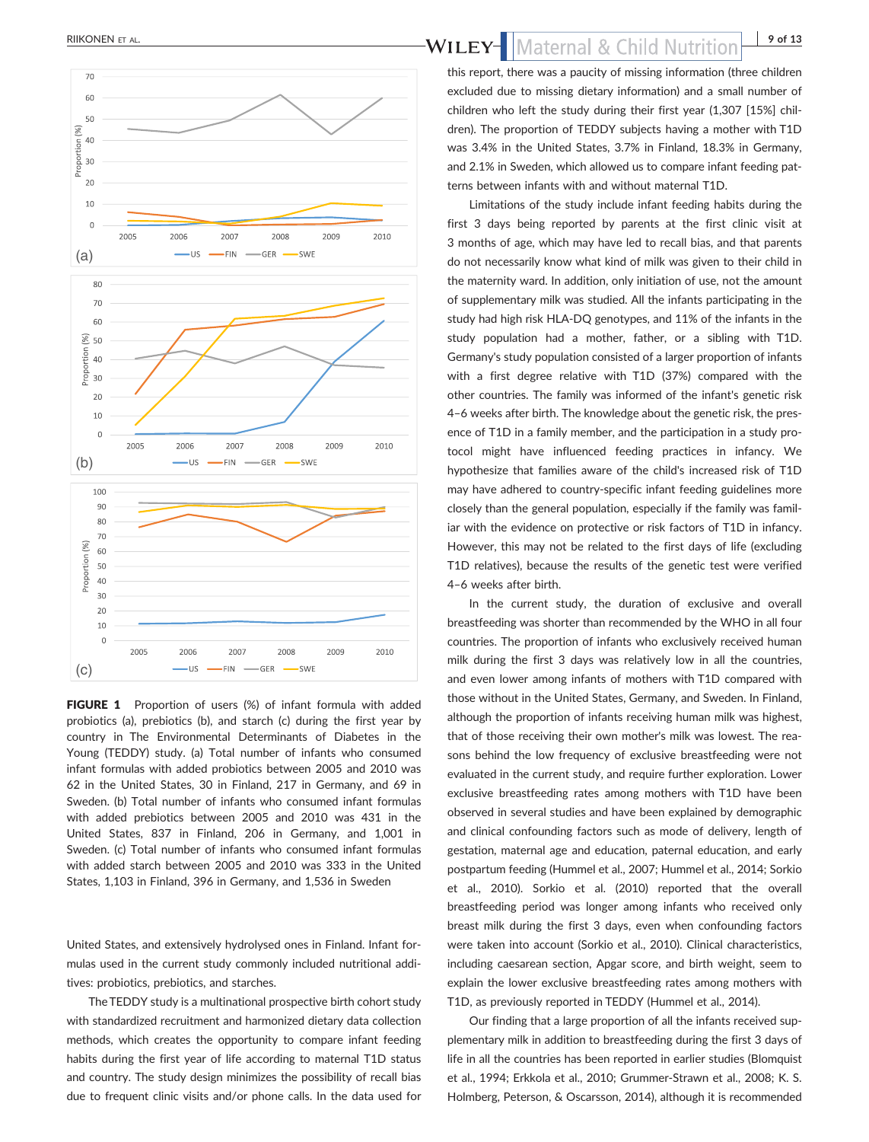

FIGURE 1 Proportion of users (%) of infant formula with added probiotics (a), prebiotics (b), and starch (c) during the first year by country in The Environmental Determinants of Diabetes in the Young (TEDDY) study. (a) Total number of infants who consumed infant formulas with added probiotics between 2005 and 2010 was 62 in the United States, 30 in Finland, 217 in Germany, and 69 in Sweden. (b) Total number of infants who consumed infant formulas with added prebiotics between 2005 and 2010 was 431 in the United States, 837 in Finland, 206 in Germany, and 1,001 in Sweden. (c) Total number of infants who consumed infant formulas with added starch between 2005 and 2010 was 333 in the United States, 1,103 in Finland, 396 in Germany, and 1,536 in Sweden

United States, and extensively hydrolysed ones in Finland. Infant formulas used in the current study commonly included nutritional additives: probiotics, prebiotics, and starches.

The TEDDY study is a multinational prospective birth cohort study with standardized recruitment and harmonized dietary data collection methods, which creates the opportunity to compare infant feeding habits during the first year of life according to maternal T1D status and country. The study design minimizes the possibility of recall bias due to frequent clinic visits and/or phone calls. In the data used for

# RIIKONEN ET AL. **19 of 13**<br>**WILEY-** Maternal & Child Nutrition 19 of 13

this report, there was a paucity of missing information (three children excluded due to missing dietary information) and a small number of children who left the study during their first year (1,307 [15%] children). The proportion of TEDDY subjects having a mother with T1D was 3.4% in the United States, 3.7% in Finland, 18.3% in Germany, and 2.1% in Sweden, which allowed us to compare infant feeding patterns between infants with and without maternal T1D.

Limitations of the study include infant feeding habits during the first 3 days being reported by parents at the first clinic visit at 3 months of age, which may have led to recall bias, and that parents do not necessarily know what kind of milk was given to their child in the maternity ward. In addition, only initiation of use, not the amount of supplementary milk was studied. All the infants participating in the study had high risk HLA‐DQ genotypes, and 11% of the infants in the study population had a mother, father, or a sibling with T1D. Germany's study population consisted of a larger proportion of infants with a first degree relative with T1D (37%) compared with the other countries. The family was informed of the infant's genetic risk 4–6 weeks after birth. The knowledge about the genetic risk, the presence of T1D in a family member, and the participation in a study protocol might have influenced feeding practices in infancy. We hypothesize that families aware of the child's increased risk of T1D may have adhered to country‐specific infant feeding guidelines more closely than the general population, especially if the family was familiar with the evidence on protective or risk factors of T1D in infancy. However, this may not be related to the first days of life (excluding T1D relatives), because the results of the genetic test were verified 4–6 weeks after birth.

In the current study, the duration of exclusive and overall breastfeeding was shorter than recommended by the WHO in all four countries. The proportion of infants who exclusively received human milk during the first 3 days was relatively low in all the countries, and even lower among infants of mothers with T1D compared with those without in the United States, Germany, and Sweden. In Finland, although the proportion of infants receiving human milk was highest, that of those receiving their own mother's milk was lowest. The reasons behind the low frequency of exclusive breastfeeding were not evaluated in the current study, and require further exploration. Lower exclusive breastfeeding rates among mothers with T1D have been observed in several studies and have been explained by demographic and clinical confounding factors such as mode of delivery, length of gestation, maternal age and education, paternal education, and early postpartum feeding (Hummel et al., 2007; Hummel et al., 2014; Sorkio et al., 2010). Sorkio et al. (2010) reported that the overall breastfeeding period was longer among infants who received only breast milk during the first 3 days, even when confounding factors were taken into account (Sorkio et al., 2010). Clinical characteristics, including caesarean section, Apgar score, and birth weight, seem to explain the lower exclusive breastfeeding rates among mothers with T1D, as previously reported in TEDDY (Hummel et al., 2014).

Our finding that a large proportion of all the infants received supplementary milk in addition to breastfeeding during the first 3 days of life in all the countries has been reported in earlier studies (Blomquist et al., 1994; Erkkola et al., 2010; Grummer‐Strawn et al., 2008; K. S. Holmberg, Peterson, & Oscarsson, 2014), although it is recommended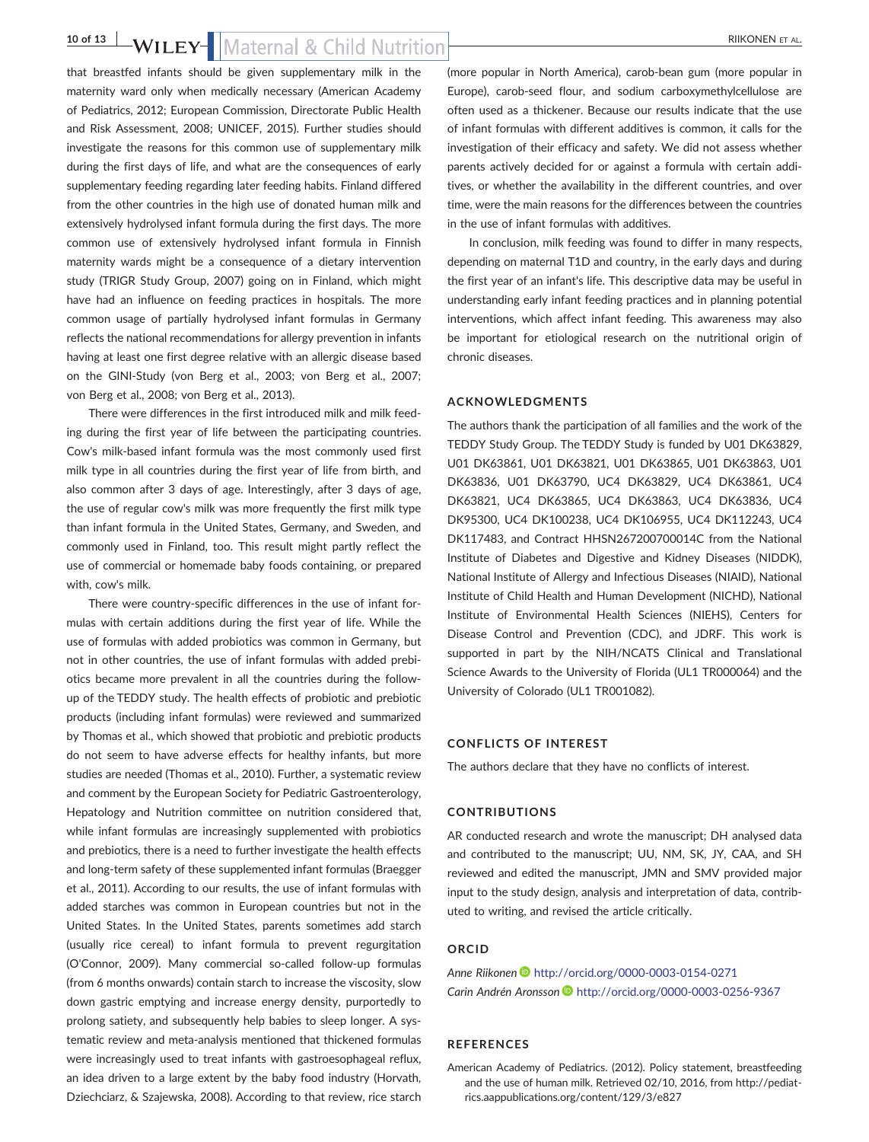# **10 of 13 bs** by **b** by **b** b **c** b  $\overline{B}$  **c** b  $\overline{B}$  **c**  $\overline{B}$  **c**  $\overline{B}$  **c**  $\overline{B}$  **c**  $\overline{B}$  **c**  $\overline{B}$  **c**  $\overline{B}$  **c**  $\overline{B}$  **c**  $\overline{B}$  **c**  $\overline{B}$  **c**  $\overline{B}$  **c**  $\overline{B}$  **c**  $\overline{B}$  **c**

that breastfed infants should be given supplementary milk in the maternity ward only when medically necessary (American Academy of Pediatrics, 2012; European Commission, Directorate Public Health and Risk Assessment, 2008; UNICEF, 2015). Further studies should investigate the reasons for this common use of supplementary milk during the first days of life, and what are the consequences of early supplementary feeding regarding later feeding habits. Finland differed from the other countries in the high use of donated human milk and extensively hydrolysed infant formula during the first days. The more common use of extensively hydrolysed infant formula in Finnish maternity wards might be a consequence of a dietary intervention study (TRIGR Study Group, 2007) going on in Finland, which might have had an influence on feeding practices in hospitals. The more common usage of partially hydrolysed infant formulas in Germany reflects the national recommendations for allergy prevention in infants having at least one first degree relative with an allergic disease based on the GINI‐Study (von Berg et al., 2003; von Berg et al., 2007; von Berg et al., 2008; von Berg et al., 2013).

There were differences in the first introduced milk and milk feeding during the first year of life between the participating countries. Cow's milk‐based infant formula was the most commonly used first milk type in all countries during the first year of life from birth, and also common after 3 days of age. Interestingly, after 3 days of age, the use of regular cow's milk was more frequently the first milk type than infant formula in the United States, Germany, and Sweden, and commonly used in Finland, too. This result might partly reflect the use of commercial or homemade baby foods containing, or prepared with, cow's milk.

There were country‐specific differences in the use of infant formulas with certain additions during the first year of life. While the use of formulas with added probiotics was common in Germany, but not in other countries, the use of infant formulas with added prebiotics became more prevalent in all the countries during the follow‐ up of the TEDDY study. The health effects of probiotic and prebiotic products (including infant formulas) were reviewed and summarized by Thomas et al., which showed that probiotic and prebiotic products do not seem to have adverse effects for healthy infants, but more studies are needed (Thomas et al., 2010). Further, a systematic review and comment by the European Society for Pediatric Gastroenterology, Hepatology and Nutrition committee on nutrition considered that, while infant formulas are increasingly supplemented with probiotics and prebiotics, there is a need to further investigate the health effects and long-term safety of these supplemented infant formulas (Braegger et al., 2011). According to our results, the use of infant formulas with added starches was common in European countries but not in the United States. In the United States, parents sometimes add starch (usually rice cereal) to infant formula to prevent regurgitation (O'Connor, 2009). Many commercial so‐called follow‐up formulas (from 6 months onwards) contain starch to increase the viscosity, slow down gastric emptying and increase energy density, purportedly to prolong satiety, and subsequently help babies to sleep longer. A systematic review and meta‐analysis mentioned that thickened formulas were increasingly used to treat infants with gastroesophageal reflux, an idea driven to a large extent by the baby food industry (Horvath, Dziechciarz, & Szajewska, 2008). According to that review, rice starch

(more popular in North America), carob‐bean gum (more popular in Europe), carob-seed flour, and sodium carboxymethylcellulose are often used as a thickener. Because our results indicate that the use of infant formulas with different additives is common, it calls for the investigation of their efficacy and safety. We did not assess whether parents actively decided for or against a formula with certain additives, or whether the availability in the different countries, and over time, were the main reasons for the differences between the countries in the use of infant formulas with additives.

In conclusion, milk feeding was found to differ in many respects, depending on maternal T1D and country, in the early days and during the first year of an infant's life. This descriptive data may be useful in understanding early infant feeding practices and in planning potential interventions, which affect infant feeding. This awareness may also be important for etiological research on the nutritional origin of chronic diseases.

#### **ACKNOWLEDGMENTS**

The authors thank the participation of all families and the work of the TEDDY Study Group. The TEDDY Study is funded by U01 DK63829, U01 DK63861, U01 DK63821, U01 DK63865, U01 DK63863, U01 DK63836, U01 DK63790, UC4 DK63829, UC4 DK63861, UC4 DK63821, UC4 DK63865, UC4 DK63863, UC4 DK63836, UC4 DK95300, UC4 DK100238, UC4 DK106955, UC4 DK112243, UC4 DK117483, and Contract HHSN267200700014C from the National Institute of Diabetes and Digestive and Kidney Diseases (NIDDK), National Institute of Allergy and Infectious Diseases (NIAID), National Institute of Child Health and Human Development (NICHD), National Institute of Environmental Health Sciences (NIEHS), Centers for Disease Control and Prevention (CDC), and JDRF. This work is supported in part by the NIH/NCATS Clinical and Translational Science Awards to the University of Florida (UL1 TR000064) and the University of Colorado (UL1 TR001082).

#### **CONFLICTS OF INTEREST**

The authors declare that they have no conflicts of interest.

### **CONTRIBUTIONS**

AR conducted research and wrote the manuscript; DH analysed data and contributed to the manuscript; UU, NM, SK, JY, CAA, and SH reviewed and edited the manuscript, JMN and SMV provided major input to the study design, analysis and interpretation of data, contributed to writing, and revised the article critically.

#### **ORCID**

*Anne Riikonen* <http://orcid.org/0000-0003-0154-0271> *Carin Andrén Aronsson* <http://orcid.org/0000-0003-0256-9367>

### **REFERENCES**

American Academy of Pediatrics. (2012). Policy statement, breastfeeding and the use of human milk. Retrieved 02/10, 2016, from [http://pediat](http://pediatrics.aappublications.org/content/129/3/e827)[rics.aappublications.org/content/129/3/e827](http://pediatrics.aappublications.org/content/129/3/e827)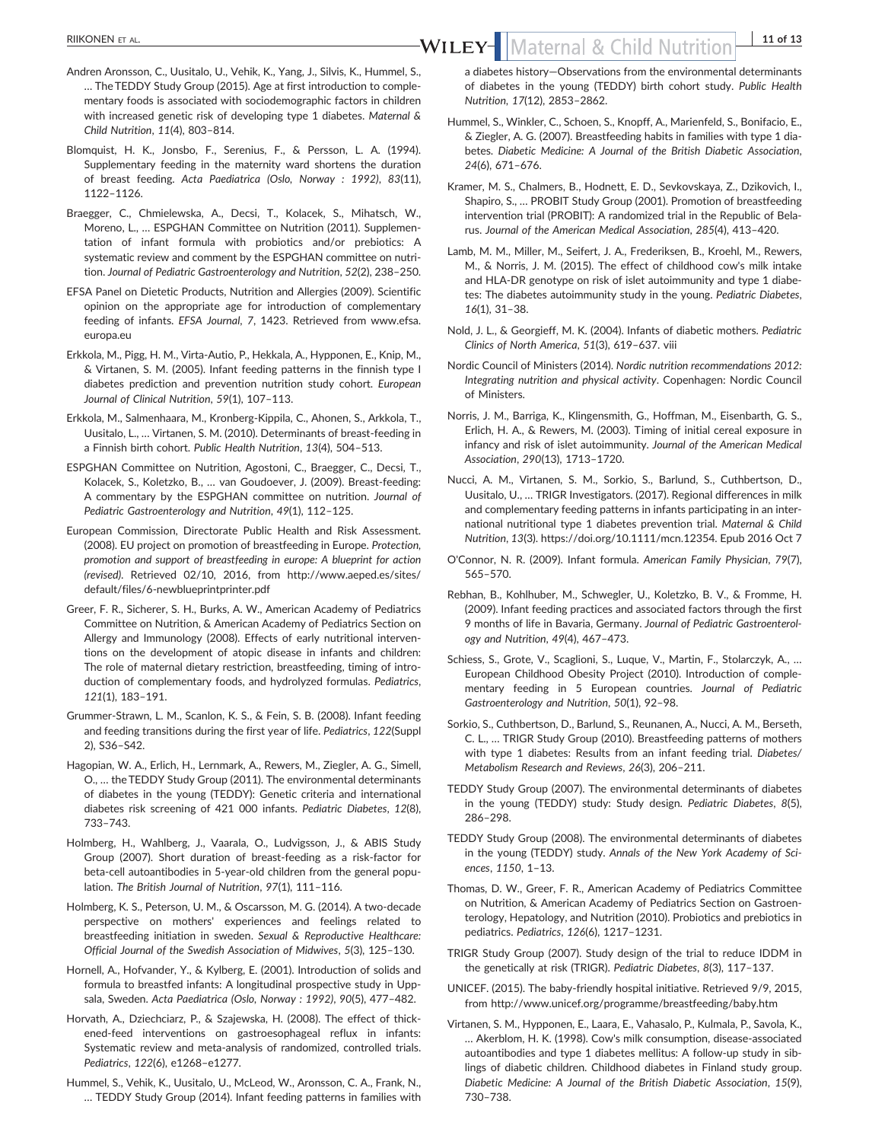*Child Nutrition*, *11*(4), 803–814.

- Andren Aronsson, C., Uusitalo, U., Vehik, K., Yang, J., Silvis, K., Hummel, S., … The TEDDY Study Group (2015). Age at first introduction to complementary foods is associated with sociodemographic factors in children with increased genetic risk of developing type 1 diabetes. *Maternal &* RIIKONEN ET AL. **11 of 13**<br>WILEY-WILEY-Maternal & Child Nutrition 11 of 13
- Blomquist, H. K., Jonsbo, F., Serenius, F., & Persson, L. A. (1994). Supplementary feeding in the maternity ward shortens the duration of breast feeding. *Acta Paediatrica (Oslo, Norway : 1992)*, *83*(11), 1122–1126.
- Braegger, C., Chmielewska, A., Decsi, T., Kolacek, S., Mihatsch, W., Moreno, L., … ESPGHAN Committee on Nutrition (2011). Supplementation of infant formula with probiotics and/or prebiotics: A systematic review and comment by the ESPGHAN committee on nutrition. *Journal of Pediatric Gastroenterology and Nutrition*, *52*(2), 238–250.
- EFSA Panel on Dietetic Products, Nutrition and Allergies (2009). Scientific opinion on the appropriate age for introduction of complementary feeding of infants. *EFSA Journal*, *7*, 1423. Retrieved from [www.efsa.](http://www.efsa.europa.eu) [europa.eu](http://www.efsa.europa.eu)
- Erkkola, M., Pigg, H. M., Virta‐Autio, P., Hekkala, A., Hypponen, E., Knip, M., & Virtanen, S. M. (2005). Infant feeding patterns in the finnish type I diabetes prediction and prevention nutrition study cohort. *European Journal of Clinical Nutrition*, *59*(1), 107–113.
- Erkkola, M., Salmenhaara, M., Kronberg‐Kippila, C., Ahonen, S., Arkkola, T., Uusitalo, L., … Virtanen, S. M. (2010). Determinants of breast‐feeding in a Finnish birth cohort. *Public Health Nutrition*, *13*(4), 504–513.
- ESPGHAN Committee on Nutrition, Agostoni, C., Braegger, C., Decsi, T., Kolacek, S., Koletzko, B., … van Goudoever, J. (2009). Breast‐feeding: A commentary by the ESPGHAN committee on nutrition. *Journal of Pediatric Gastroenterology and Nutrition*, *49*(1), 112–125.
- European Commission, Directorate Public Health and Risk Assessment. (2008). EU project on promotion of breastfeeding in Europe. *Protection, promotion and support of breastfeeding in europe: A blueprint for action (revised)*. Retrieved 02/10, 2016, from [http://www.aeped.es/sites/](http://www.aeped.es/sites/default/files/6-newblueprintprinter.pdf) default/files/6‐[newblueprintprinter.pdf](http://www.aeped.es/sites/default/files/6-newblueprintprinter.pdf)
- Greer, F. R., Sicherer, S. H., Burks, A. W., American Academy of Pediatrics Committee on Nutrition, & American Academy of Pediatrics Section on Allergy and Immunology (2008). Effects of early nutritional interventions on the development of atopic disease in infants and children: The role of maternal dietary restriction, breastfeeding, timing of introduction of complementary foods, and hydrolyzed formulas. *Pediatrics*, *121*(1), 183–191.
- Grummer‐Strawn, L. M., Scanlon, K. S., & Fein, S. B. (2008). Infant feeding and feeding transitions during the first year of life. *Pediatrics*, *122*(Suppl 2), S36–S42.
- Hagopian, W. A., Erlich, H., Lernmark, A., Rewers, M., Ziegler, A. G., Simell, O., … the TEDDY Study Group (2011). The environmental determinants of diabetes in the young (TEDDY): Genetic criteria and international diabetes risk screening of 421 000 infants. *Pediatric Diabetes*, *12*(8), 733–743.
- Holmberg, H., Wahlberg, J., Vaarala, O., Ludvigsson, J., & ABIS Study Group (2007). Short duration of breast‐feeding as a risk‐factor for beta-cell autoantibodies in 5-year-old children from the general population. *The British Journal of Nutrition*, *97*(1), 111–116.
- Holmberg, K. S., Peterson, U. M., & Oscarsson, M. G. (2014). A two‐decade perspective on mothers' experiences and feelings related to breastfeeding initiation in sweden. *Sexual & Reproductive Healthcare: Official Journal of the Swedish Association of Midwives*, *5*(3), 125–130.
- Hornell, A., Hofvander, Y., & Kylberg, E. (2001). Introduction of solids and formula to breastfed infants: A longitudinal prospective study in Uppsala, Sweden. *Acta Paediatrica (Oslo, Norway : 1992)*, *90*(5), 477–482.
- Horvath, A., Dziechciarz, P., & Szajewska, H. (2008). The effect of thickened-feed interventions on gastroesophageal reflux in infants: Systematic review and meta‐analysis of randomized, controlled trials. *Pediatrics*, *122*(6), e1268–e1277.
- Hummel, S., Vehik, K., Uusitalo, U., McLeod, W., Aronsson, C. A., Frank, N., … TEDDY Study Group (2014). Infant feeding patterns in families with

a diabetes history—Observations from the environmental determinants of diabetes in the young (TEDDY) birth cohort study. *Public Health Nutrition*, *17*(12), 2853–2862.

- Hummel, S., Winkler, C., Schoen, S., Knopff, A., Marienfeld, S., Bonifacio, E., & Ziegler, A. G. (2007). Breastfeeding habits in families with type 1 diabetes. *Diabetic Medicine: A Journal of the British Diabetic Association*, *24*(6), 671–676.
- Kramer, M. S., Chalmers, B., Hodnett, E. D., Sevkovskaya, Z., Dzikovich, I., Shapiro, S., … PROBIT Study Group (2001). Promotion of breastfeeding intervention trial (PROBIT): A randomized trial in the Republic of Belarus. *Journal of the American Medical Association*, *285*(4), 413–420.
- Lamb, M. M., Miller, M., Seifert, J. A., Frederiksen, B., Kroehl, M., Rewers, M., & Norris, J. M. (2015). The effect of childhood cow's milk intake and HLA‐DR genotype on risk of islet autoimmunity and type 1 diabetes: The diabetes autoimmunity study in the young. *Pediatric Diabetes*, *16*(1), 31–38.
- Nold, J. L., & Georgieff, M. K. (2004). Infants of diabetic mothers. *Pediatric Clinics of North America*, *51*(3), 619–637. viii
- Nordic Council of Ministers (2014). *Nordic nutrition recommendations 2012: Integrating nutrition and physical activity*. Copenhagen: Nordic Council of Ministers.
- Norris, J. M., Barriga, K., Klingensmith, G., Hoffman, M., Eisenbarth, G. S., Erlich, H. A., & Rewers, M. (2003). Timing of initial cereal exposure in infancy and risk of islet autoimmunity. *Journal of the American Medical Association*, *290*(13), 1713–1720.
- Nucci, A. M., Virtanen, S. M., Sorkio, S., Barlund, S., Cuthbertson, D., Uusitalo, U., … TRIGR Investigators. (2017). Regional differences in milk and complementary feeding patterns in infants participating in an international nutritional type 1 diabetes prevention trial. *Maternal & Child Nutrition*, *13*(3).<https://doi.org/10.1111/mcn.12354>. Epub 2016 Oct 7
- O'Connor, N. R. (2009). Infant formula. *American Family Physician*, *79*(7), 565–570.
- Rebhan, B., Kohlhuber, M., Schwegler, U., Koletzko, B. V., & Fromme, H. (2009). Infant feeding practices and associated factors through the first 9 months of life in Bavaria, Germany. *Journal of Pediatric Gastroenterology and Nutrition*, *49*(4), 467–473.
- Schiess, S., Grote, V., Scaglioni, S., Luque, V., Martin, F., Stolarczyk, A., … European Childhood Obesity Project (2010). Introduction of complementary feeding in 5 European countries. *Journal of Pediatric Gastroenterology and Nutrition*, *50*(1), 92–98.
- Sorkio, S., Cuthbertson, D., Barlund, S., Reunanen, A., Nucci, A. M., Berseth, C. L., … TRIGR Study Group (2010). Breastfeeding patterns of mothers with type 1 diabetes: Results from an infant feeding trial. *Diabetes/ Metabolism Research and Reviews*, *26*(3), 206–211.
- TEDDY Study Group (2007). The environmental determinants of diabetes in the young (TEDDY) study: Study design. *Pediatric Diabetes*, *8*(5), 286–298.
- TEDDY Study Group (2008). The environmental determinants of diabetes in the young (TEDDY) study. *Annals of the New York Academy of Sciences*, *1150*, 1–13.
- Thomas, D. W., Greer, F. R., American Academy of Pediatrics Committee on Nutrition, & American Academy of Pediatrics Section on Gastroenterology, Hepatology, and Nutrition (2010). Probiotics and prebiotics in pediatrics. *Pediatrics*, *126*(6), 1217–1231.
- TRIGR Study Group (2007). Study design of the trial to reduce IDDM in the genetically at risk (TRIGR). *Pediatric Diabetes*, *8*(3), 117–137.
- UNICEF. (2015). The baby‐friendly hospital initiative. Retrieved 9/9, 2015, from<http://www.unicef.org/programme/breastfeeding/baby.htm>
- Virtanen, S. M., Hypponen, E., Laara, E., Vahasalo, P., Kulmala, P., Savola, K., … Akerblom, H. K. (1998). Cow's milk consumption, disease‐associated autoantibodies and type 1 diabetes mellitus: A follow‐up study in siblings of diabetic children. Childhood diabetes in Finland study group. *Diabetic Medicine: A Journal of the British Diabetic Association*, *15*(9), 730–738.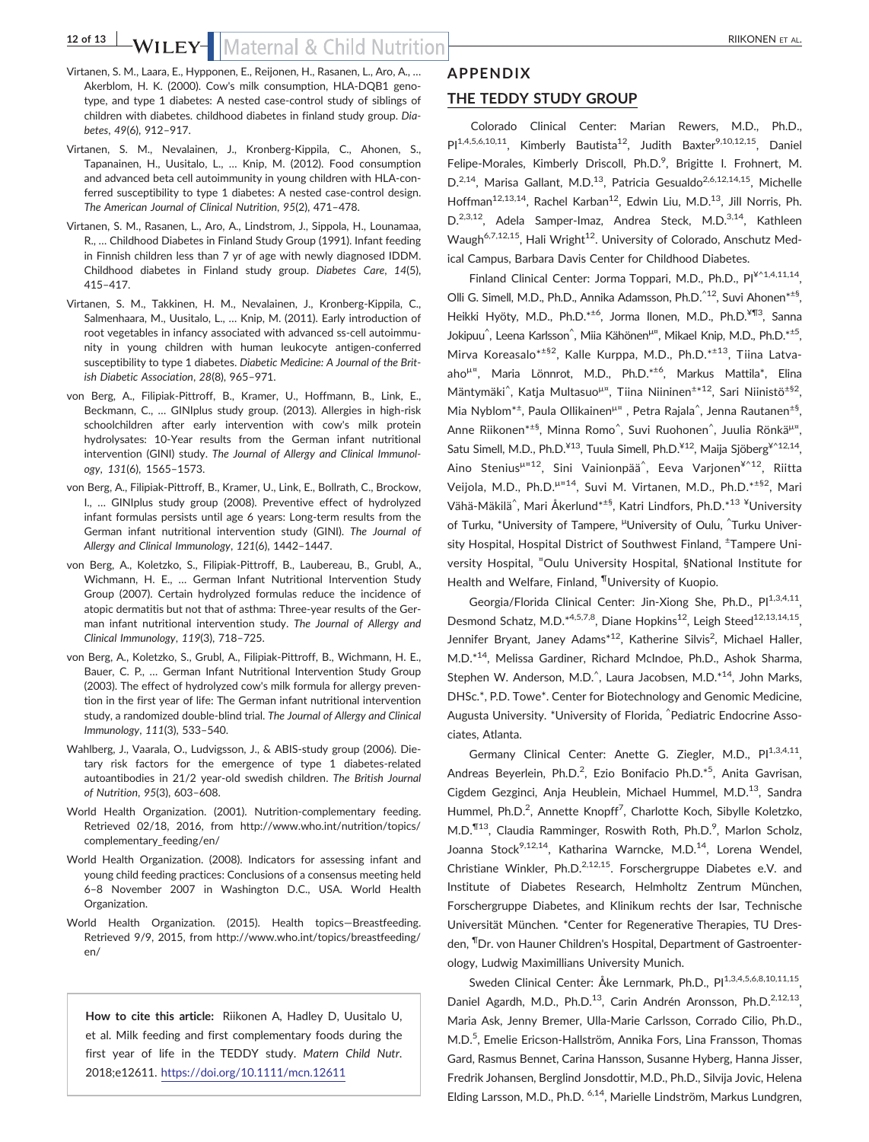# 12 of 13 **bs** by **LEY** Maternal & Child Nutrition **CONCERNAL RIIKONEN ET AL.**

- Virtanen, S. M., Laara, E., Hypponen, E., Reijonen, H., Rasanen, L., Aro, A., … Akerblom, H. K. (2000). Cow's milk consumption, HLA‐DQB1 genotype, and type 1 diabetes: A nested case‐control study of siblings of children with diabetes. childhood diabetes in finland study group. *Diabetes*, *49*(6), 912–917.
- Virtanen, S. M., Nevalainen, J., Kronberg‐Kippila, C., Ahonen, S., Tapanainen, H., Uusitalo, L., … Knip, M. (2012). Food consumption and advanced beta cell autoimmunity in young children with HLA‐conferred susceptibility to type 1 diabetes: A nested case-control design. *The American Journal of Clinical Nutrition*, *95*(2), 471–478.
- Virtanen, S. M., Rasanen, L., Aro, A., Lindstrom, J., Sippola, H., Lounamaa, R., … Childhood Diabetes in Finland Study Group (1991). Infant feeding in Finnish children less than 7 yr of age with newly diagnosed IDDM. Childhood diabetes in Finland study group. *Diabetes Care*, *14*(5), 415–417.
- Virtanen, S. M., Takkinen, H. M., Nevalainen, J., Kronberg‐Kippila, C., Salmenhaara, M., Uusitalo, L., … Knip, M. (2011). Early introduction of root vegetables in infancy associated with advanced ss‐cell autoimmunity in young children with human leukocyte antigen‐conferred susceptibility to type 1 diabetes. *Diabetic Medicine: A Journal of the British Diabetic Association*, *28*(8), 965–971.
- von Berg, A., Filipiak‐Pittroff, B., Kramer, U., Hoffmann, B., Link, E., Beckmann, C., … GINIplus study group. (2013). Allergies in high‐risk schoolchildren after early intervention with cow's milk protein hydrolysates: 10‐Year results from the German infant nutritional intervention (GINI) study. *The Journal of Allergy and Clinical Immunology*, *131*(6), 1565–1573.
- von Berg, A., Filipiak‐Pittroff, B., Kramer, U., Link, E., Bollrath, C., Brockow, I., … GINIplus study group (2008). Preventive effect of hydrolyzed infant formulas persists until age 6 years: Long-term results from the German infant nutritional intervention study (GINI). *The Journal of Allergy and Clinical Immunology*, *121*(6), 1442–1447.
- von Berg, A., Koletzko, S., Filipiak‐Pittroff, B., Laubereau, B., Grubl, A., Wichmann, H. E., … German Infant Nutritional Intervention Study Group (2007). Certain hydrolyzed formulas reduce the incidence of atopic dermatitis but not that of asthma: Three‐year results of the German infant nutritional intervention study. *The Journal of Allergy and Clinical Immunology*, *119*(3), 718–725.
- von Berg, A., Koletzko, S., Grubl, A., Filipiak‐Pittroff, B., Wichmann, H. E., Bauer, C. P., … German Infant Nutritional Intervention Study Group (2003). The effect of hydrolyzed cow's milk formula for allergy prevention in the first year of life: The German infant nutritional intervention study, a randomized double‐blind trial. *The Journal of Allergy and Clinical Immunology*, *111*(3), 533–540.
- Wahlberg, J., Vaarala, O., Ludvigsson, J., & ABIS‐study group (2006). Dietary risk factors for the emergence of type 1 diabetes-related autoantibodies in 21/2 year‐old swedish children. *The British Journal of Nutrition*, *95*(3), 603–608.
- World Health Organization. (2001). Nutrition-complementary feeding. Retrieved 02/18, 2016, from [http://www.who.int/nutrition/topics/](http://www.who.int/nutrition/topics/complementary_feeding/en/) [complementary\\_feeding/en/](http://www.who.int/nutrition/topics/complementary_feeding/en/)
- World Health Organization. (2008). Indicators for assessing infant and young child feeding practices: Conclusions of a consensus meeting held 6–8 November 2007 in Washington D.C., USA. World Health Organization.
- World Health Organization. (2015). Health topics—Breastfeeding. Retrieved 9/9, 2015, from [http://www.who.int/topics/breastfeeding/](http://www.who.int/topics/breastfeeding/en/) [en/](http://www.who.int/topics/breastfeeding/en/)

**How to cite this article:** Riikonen A, Hadley D, Uusitalo U, et al. Milk feeding and first complementary foods during the first year of life in the TEDDY study. *Matern Child Nutr*. 2018;e12611. <https://doi.org/10.1111/mcn.12611>

# **APPENDIX THE TEDDY STUDY GROUP**

Colorado Clinical Center: Marian Rewers, M.D., Ph.D.,  $PI^{1,4,5,6,10,11}$ , Kimberly Bautista<sup>12</sup>, Judith Baxter<sup>9,10,12,15</sup>, Daniel Felipe-Morales, Kimberly Driscoll, Ph.D.<sup>9</sup>, Brigitte I. Frohnert, M. D.<sup>2,14</sup>, Marisa Gallant, M.D.<sup>13</sup>, Patricia Gesualdo<sup>2,6,12,14,15</sup>, Michelle Hoffman<sup>12,13,14</sup>, Rachel Karban<sup>12</sup>, Edwin Liu, M.D.<sup>13</sup>, Jill Norris, Ph. D.<sup>2,3,12</sup>, Adela Samper-Imaz, Andrea Steck, M.D.<sup>3,14</sup>, Kathleen Waugh<sup>6,7,12,15</sup>, Hali Wright<sup>12</sup>. University of Colorado, Anschutz Medical Campus, Barbara Davis Center for Childhood Diabetes.

Finland Clinical Center: Jorma Toppari, M.D., Ph.D., Pl<sup>¥^1,4,11,14</sup>, Olli G. Simell, M.D., Ph.D., Annika Adamsson, Ph.D.^12, Suvi Ahonen\*±§, Heikki Hyöty, M.D., Ph.D.\*<sup>±6</sup>, Jorma Ilonen, M.D., Ph.D.<sup>¥¶3</sup>, Sanna Jokipuu^, Leena Karlsson^, Miia Kähönen<sup>µ¤</sup>, Mikael Knip, M.D., Ph.D.\*<sup>±5</sup>, Mirva Koreasalo<sup>\*±§2</sup>, Kalle Kurppa, M.D., Ph.D.<sup>\*±13</sup>, Tiina Latvaaho<sup>µ¤</sup>, Maria Lönnrot, M.D., Ph.D.\*<sup>±6</sup>, Markus Mattila\*, Elina Mäntymäki<sup>^</sup>, Katja Multasuo<sup>µ¤</sup>, Tiina Niininen<sup>±\*12</sup>, Sari Niinistö<sup>±§2</sup>, Mia Nyblom<sup>\*±</sup>, Paula Ollikainen<sup>µ¤</sup>, Petra Rajala<sup>^</sup>, Jenna Rautanen<sup>±§</sup>, Anne Riikonen<sup>\*±§</sup>, Minna Romo^, Suvi Ruohonen^, Juulia Rönkä<sup>µ¤</sup>, Satu Simell, M.D., Ph.D.<sup>¥13</sup>, Tuula Simell, Ph.D.<sup>¥12</sup>, Maija Sjöberg<sup>¥^12,14</sup>, Aino Stenius<sup>µ¤12</sup>, Sini Vainionpää^, Eeva Varjonen<sup>¥^12</sup>, Riitta Veijola, M.D., Ph.D.<sup>μ</sup>¤14, Suvi M. Virtanen, M.D., Ph.D.\*±§2, Mari Vähä-Mäkilä^, Mari Åkerlund\*<sup>±§</sup>, Katri Lindfors, Ph.D.\*<sup>13¥</sup>University of Turku, \*University of Tampere, <sup>µ</sup>University of Oulu, ^Turku University Hospital, Hospital District of Southwest Finland, <sup>+</sup>Tampere University Hospital, "Oulu University Hospital, §National Institute for Health and Welfare, Finland, ¶University of Kuopio.

Georgia/Florida Clinical Center: Jin-Xiong She, Ph.D., Pl<sup>1,3,4,11</sup>. Desmond Schatz, M.D.\*4,5,7,8, Diane Hopkins<sup>12</sup>, Leigh Steed<sup>12,13,14,15</sup>, Jennifer Bryant, Janey Adams<sup>\*12</sup>, Katherine Silvis<sup>2</sup>, Michael Haller, M.D.\*14, Melissa Gardiner, Richard McIndoe, Ph.D., Ashok Sharma, Stephen W. Anderson, M.D.<sup>^</sup>, Laura Jacobsen, M.D.\*<sup>14</sup>, John Marks, DHSc.\*, P.D. Towe\*. Center for Biotechnology and Genomic Medicine, Augusta University. \*University of Florida, ^ Pediatric Endocrine Associates, Atlanta.

Germany Clinical Center: Anette G. Ziegler, M.D., Pl<sup>1,3,4,11</sup>, Andreas Beyerlein, Ph.D.<sup>2</sup>, Ezio Bonifacio Ph.D.<sup>\*5</sup>, Anita Gavrisan, Cigdem Gezginci, Anja Heublein, Michael Hummel, M.D.<sup>13</sup>. Sandra Hummel, Ph.D.<sup>2</sup>, Annette Knopff<sup>7</sup>, Charlotte Koch, Sibylle Koletzko, M.D.<sup>¶13</sup>, Claudia Ramminger, Roswith Roth, Ph.D.<sup>9</sup>, Marlon Scholz, Joanna Stock<sup>9,12,14</sup>, Katharina Warncke, M.D.<sup>14</sup>, Lorena Wendel, Christiane Winkler, Ph.D.<sup>2,12,15</sup>. Forschergruppe Diabetes e.V. and Institute of Diabetes Research, Helmholtz Zentrum München, Forschergruppe Diabetes, and Klinikum rechts der Isar, Technische Universität München. \*Center for Regenerative Therapies, TU Dresden, ¶Dr. von Hauner Children's Hospital, Department of Gastroenterology, Ludwig Maximillians University Munich.

Sweden Clinical Center: Åke Lernmark, Ph.D., Pl<sup>1,3,4,5,6,8,10,11,15</sup>, Daniel Agardh, M.D., Ph.D.<sup>13</sup>, Carin Andrén Aronsson, Ph.D.<sup>2,12,13</sup>, Maria Ask, Jenny Bremer, Ulla‐Marie Carlsson, Corrado Cilio, Ph.D., M.D.<sup>5</sup>, Emelie Ericson-Hallström, Annika Fors, Lina Fransson, Thomas Gard, Rasmus Bennet, Carina Hansson, Susanne Hyberg, Hanna Jisser, Fredrik Johansen, Berglind Jonsdottir, M.D., Ph.D., Silvija Jovic, Helena Elding Larsson, M.D., Ph.D. <sup>6,14</sup>, Marielle Lindström, Markus Lundgren,